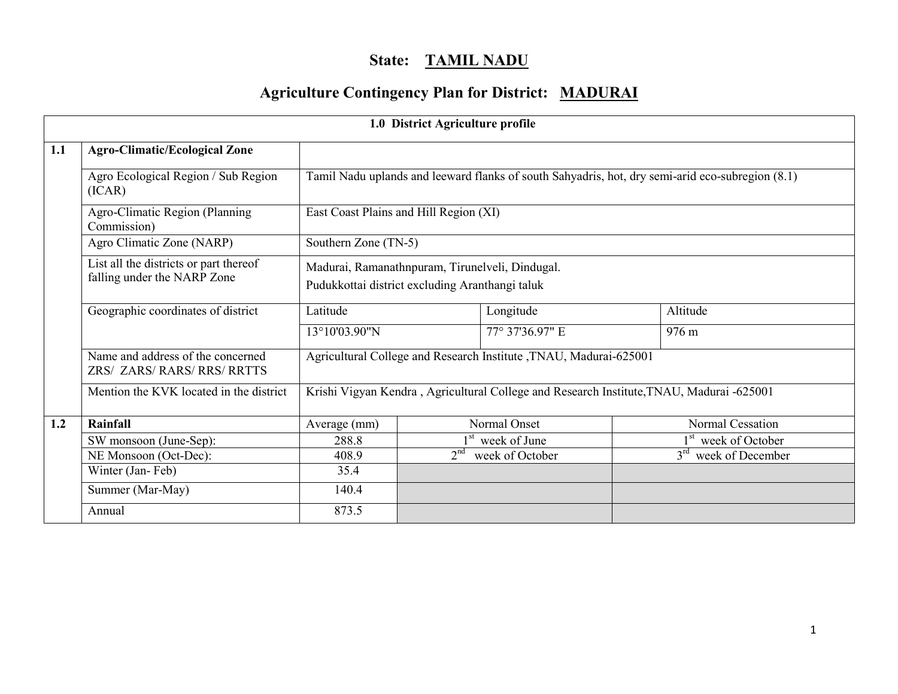# State: TAMIL NADU

# Agriculture Contingency Plan for District: MADURAI

|     |                                                                       |                                                                                                    | 1.0 District Agriculture profile |                                                                                                  |                                 |  |  |  |
|-----|-----------------------------------------------------------------------|----------------------------------------------------------------------------------------------------|----------------------------------|--------------------------------------------------------------------------------------------------|---------------------------------|--|--|--|
| 1.1 | <b>Agro-Climatic/Ecological Zone</b>                                  |                                                                                                    |                                  |                                                                                                  |                                 |  |  |  |
|     | Agro Ecological Region / Sub Region<br>(ICAR)                         |                                                                                                    |                                  | Tamil Nadu uplands and leeward flanks of south Sahyadris, hot, dry semi-arid eco-subregion (8.1) |                                 |  |  |  |
|     | Agro-Climatic Region (Planning<br>Commission)                         | East Coast Plains and Hill Region (XI)                                                             |                                  |                                                                                                  |                                 |  |  |  |
|     | Agro Climatic Zone (NARP)                                             | Southern Zone (TN-5)                                                                               |                                  |                                                                                                  |                                 |  |  |  |
|     | List all the districts or part thereof<br>falling under the NARP Zone | Madurai, Ramanathnpuram, Tirunelveli, Dindugal.<br>Pudukkottai district excluding Aranthangi taluk |                                  |                                                                                                  |                                 |  |  |  |
|     | Geographic coordinates of district                                    | Latitude                                                                                           |                                  | Longitude                                                                                        | Altitude                        |  |  |  |
|     |                                                                       | 13°10'03.90"N                                                                                      |                                  | 77° 37'36.97" E                                                                                  | 976 m                           |  |  |  |
|     | Name and address of the concerned<br>ZRS/ ZARS/ RARS/ RRS/ RRTTS      |                                                                                                    |                                  | Agricultural College and Research Institute , TNAU, Madurai-625001                               |                                 |  |  |  |
|     | Mention the KVK located in the district                               |                                                                                                    |                                  | Krishi Vigyan Kendra, Agricultural College and Research Institute, TNAU, Madurai -625001         |                                 |  |  |  |
| 1.2 | Rainfall                                                              | Average (mm)                                                                                       |                                  | Normal Onset                                                                                     | Normal Cessation                |  |  |  |
|     | SW monsoon (June-Sep):                                                | 288.8                                                                                              |                                  | $1st$ week of June                                                                               | 1 <sup>st</sup> week of October |  |  |  |
|     | NE Monsoon (Oct-Dec):                                                 | 408.9                                                                                              | 2 <sup>nd</sup>                  | week of October                                                                                  | week of December                |  |  |  |
|     | Winter (Jan-Feb)                                                      | 35.4                                                                                               |                                  |                                                                                                  |                                 |  |  |  |
|     | Summer (Mar-May)                                                      | 140.4                                                                                              |                                  |                                                                                                  |                                 |  |  |  |
|     | Annual                                                                | 873.5                                                                                              |                                  |                                                                                                  |                                 |  |  |  |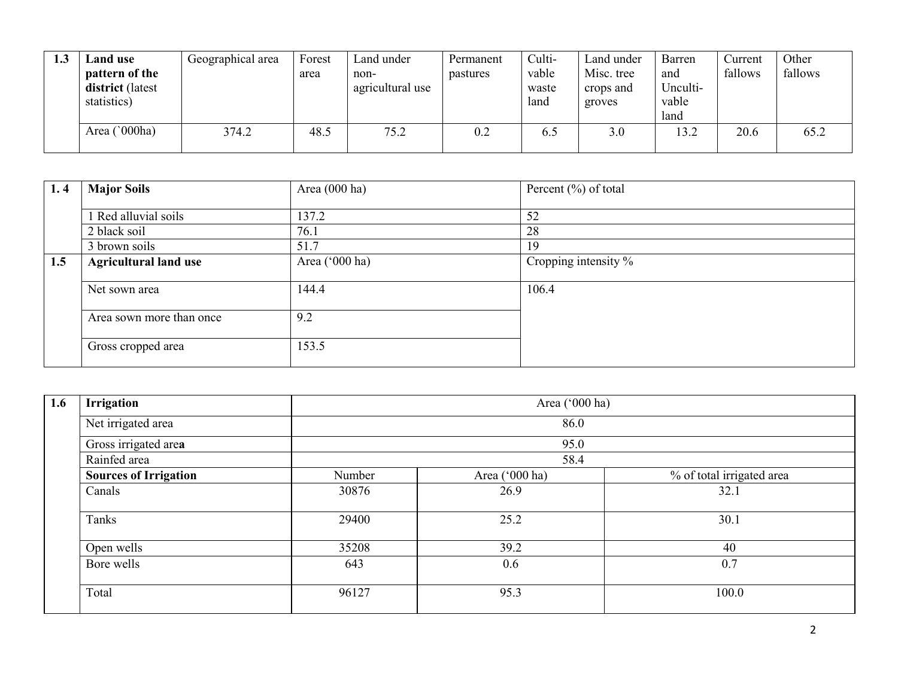| 1.3 | <b>Land use</b><br>pattern of the<br>district (latest<br>statistics) | Geographical area | Forest<br>area | Land under<br>non-<br>agricultural use | Permanent<br>pastures | Culti-<br>vable<br>waste<br>land | Land under<br>Misc. tree<br>crops and<br>groves | Barren<br>and<br>Unculti-<br>vable<br>land | Current<br>fallows | Other<br>fallows |
|-----|----------------------------------------------------------------------|-------------------|----------------|----------------------------------------|-----------------------|----------------------------------|-------------------------------------------------|--------------------------------------------|--------------------|------------------|
|     | Area ('000ha)                                                        | 374.2             | 48.5           | 75.2                                   | 0.2                   | 6.5                              | 3.0                                             | 13.2                                       | 20.6               | 65.2             |

| 1.4 | <b>Major Soils</b>           | Area $(000$ ha) | Percent $(\%)$ of total |  |
|-----|------------------------------|-----------------|-------------------------|--|
|     | Red alluvial soils           | 137.2           | 52                      |  |
|     | 2 black soil                 | 76.1            | 28                      |  |
|     | 3 brown soils                | 51.7            | 19                      |  |
| 1.5 | <b>Agricultural land use</b> | Area ('000 ha)  | Cropping intensity %    |  |
|     | Net sown area                | 144.4           | 106.4                   |  |
|     | Area sown more than once     | 9.2             |                         |  |
|     | Gross cropped area           | 153.5           |                         |  |

| 1.6 | <b>Irrigation</b>            |        | Area ('000 ha) |                           |  |  |  |  |  |  |
|-----|------------------------------|--------|----------------|---------------------------|--|--|--|--|--|--|
|     | Net irrigated area           |        | 86.0           |                           |  |  |  |  |  |  |
|     | Gross irrigated area         |        | 95.0           |                           |  |  |  |  |  |  |
|     | Rainfed area                 | 58.4   |                |                           |  |  |  |  |  |  |
|     | <b>Sources of Irrigation</b> | Number | Area ('000 ha) | % of total irrigated area |  |  |  |  |  |  |
|     | Canals                       | 30876  | 26.9           | 32.1                      |  |  |  |  |  |  |
|     | Tanks                        | 29400  | 25.2           | 30.1                      |  |  |  |  |  |  |
|     | Open wells                   | 35208  | 39.2           | 40                        |  |  |  |  |  |  |
|     | Bore wells                   | 643    | 0.6            | 0.7                       |  |  |  |  |  |  |
|     | Total                        | 96127  | 95.3           | 100.0                     |  |  |  |  |  |  |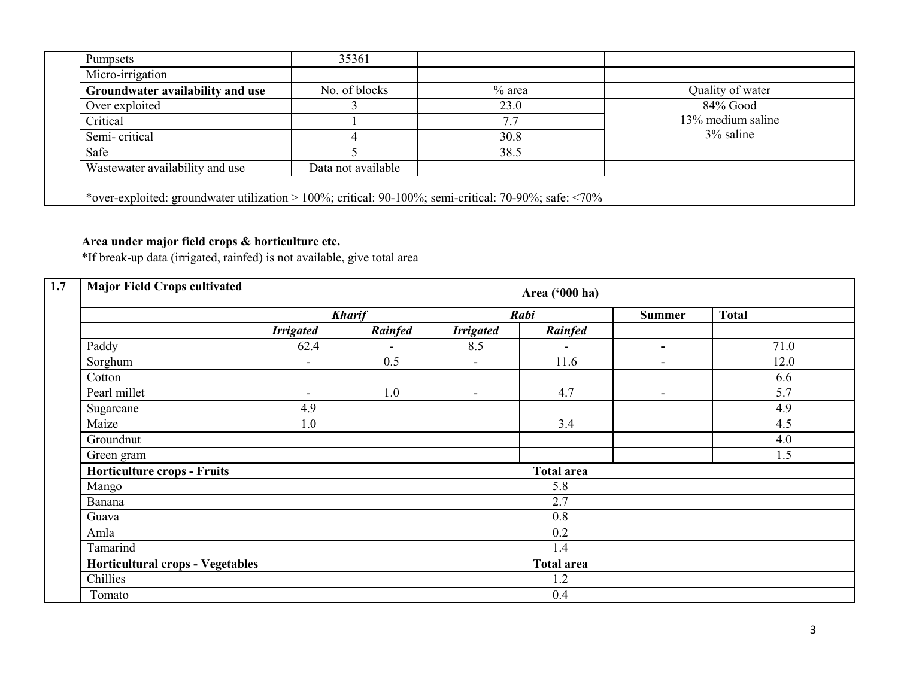| <b>Pumpsets</b>                  | 35361              |          |                   |
|----------------------------------|--------------------|----------|-------------------|
| Micro-irrigation                 |                    |          |                   |
| Groundwater availability and use | No. of blocks      | $%$ area | Quality of water  |
| Over exploited                   |                    | 23.0     | $84\%$ Good       |
| Critical                         |                    | 7.7      | 13% medium saline |
| Semi-critical                    |                    | 30.8     | $3\%$ saline      |
| Safe                             |                    | 38.5     |                   |
| Wastewater availability and use  | Data not available |          |                   |

Area under major field crops & horticulture etc. \*If break-up data (irrigated, rainfed) is not available, give total area

| <b>Major Field Crops cultivated</b>     |                          |               |                          | Area ('000 ha)    |                          |              |  |
|-----------------------------------------|--------------------------|---------------|--------------------------|-------------------|--------------------------|--------------|--|
|                                         |                          | <b>Kharif</b> |                          | Rabi              | <b>Summer</b>            | <b>Total</b> |  |
|                                         | <b>Irrigated</b>         | Rainfed       | <b>Irrigated</b>         | Rainfed           |                          |              |  |
| Paddy                                   | 62.4                     |               | 8.5                      | $\blacksquare$    | Ξ.                       | 71.0         |  |
| Sorghum                                 | $\blacksquare$           | 0.5           | $\overline{\phantom{a}}$ | 11.6              | $\blacksquare$           | 12.0         |  |
| Cotton                                  |                          |               |                          |                   |                          | 6.6          |  |
| Pearl millet                            | $\overline{\phantom{a}}$ | 1.0           | $\blacksquare$           | 4.7               | $\overline{\phantom{a}}$ | 5.7          |  |
| Sugarcane                               | 4.9                      |               |                          |                   |                          | 4.9          |  |
| Maize                                   | 1.0                      |               |                          | 3.4               |                          | 4.5          |  |
| Groundnut                               |                          |               |                          |                   |                          | 4.0          |  |
| Green gram                              |                          |               |                          |                   |                          | 1.5          |  |
| <b>Horticulture crops - Fruits</b>      |                          |               |                          | <b>Total area</b> |                          |              |  |
| Mango                                   |                          |               |                          | 5.8               |                          |              |  |
| Banana                                  |                          |               |                          | 2.7               |                          |              |  |
| Guava                                   |                          |               |                          | 0.8               |                          |              |  |
| Amla                                    |                          |               | 0.2                      |                   |                          |              |  |
| Tamarind                                |                          |               |                          | 1.4               |                          |              |  |
| <b>Horticultural crops - Vegetables</b> |                          |               |                          | <b>Total area</b> |                          |              |  |
| Chillies                                |                          |               |                          | 1.2               |                          |              |  |
| Tomato                                  |                          |               |                          | 0.4               |                          |              |  |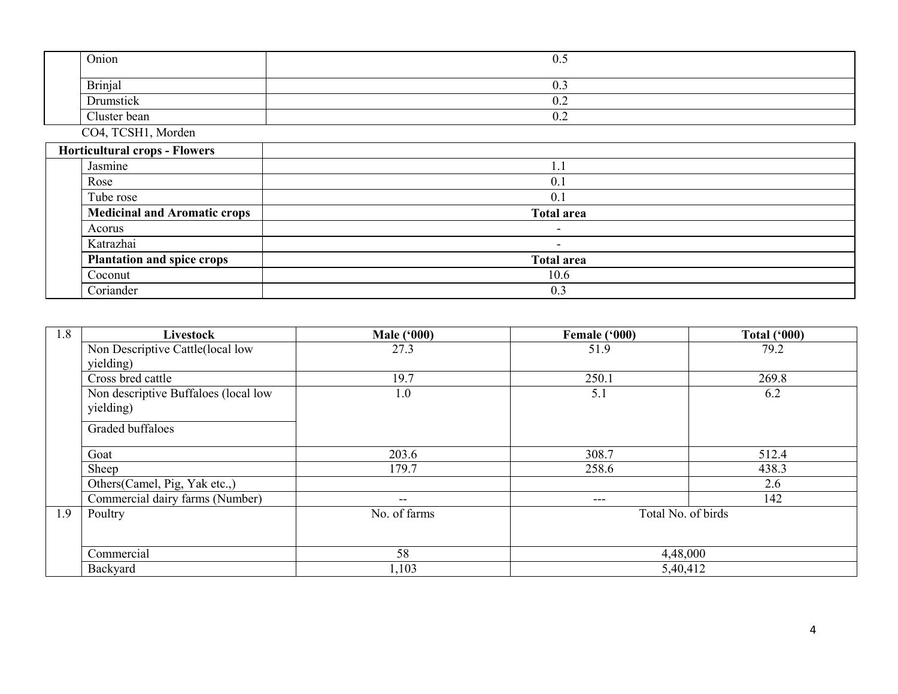| Onion                               | 0.5               |  |  |  |  |  |
|-------------------------------------|-------------------|--|--|--|--|--|
| <b>Brinjal</b>                      | 0.3               |  |  |  |  |  |
| Drumstick                           | 0.2               |  |  |  |  |  |
| Cluster bean                        | 0.2               |  |  |  |  |  |
| CO4, TCSH1, Morden                  |                   |  |  |  |  |  |
| Horticultural crops - Flowers       |                   |  |  |  |  |  |
| Jasmine                             | 1.1               |  |  |  |  |  |
| Rose                                | 0.1               |  |  |  |  |  |
| Tube rose                           | 0.1               |  |  |  |  |  |
| <b>Medicinal and Aromatic crops</b> | <b>Total area</b> |  |  |  |  |  |
| Acorus                              | $\sim$            |  |  |  |  |  |
| Katrazhai                           | $\sim$            |  |  |  |  |  |
| <b>Plantation and spice crops</b>   | <b>Total area</b> |  |  |  |  |  |
| Coconut                             | 10.6              |  |  |  |  |  |
| Coriander                           | 0.3               |  |  |  |  |  |

| 1.8 | <b>Livestock</b>                     | <b>Male ('000)</b> | Female ('000)      | <b>Total ('000)</b> |
|-----|--------------------------------------|--------------------|--------------------|---------------------|
|     | Non Descriptive Cattle(local low     | 27.3               | 51.9               | 79.2                |
|     | yielding)                            |                    |                    |                     |
|     | Cross bred cattle                    | 19.7               | 250.1              | 269.8               |
|     | Non descriptive Buffaloes (local low | 1.0                | 5.1                | 6.2                 |
|     | yielding)                            |                    |                    |                     |
|     | Graded buffaloes                     |                    |                    |                     |
|     | Goat                                 | 203.6              | 308.7              | 512.4               |
|     | Sheep                                | 179.7              | 258.6              | 438.3               |
|     | Others (Camel, Pig, Yak etc.,)       |                    |                    | 2.6                 |
|     | Commercial dairy farms (Number)      | $- -$              | $---$              | 142                 |
| 1.9 | Poultry                              | No. of farms       | Total No. of birds |                     |
|     |                                      |                    |                    |                     |
|     | Commercial                           | 58                 | 4,48,000           |                     |
|     | Backyard                             | 1,103              | 5,40,412           |                     |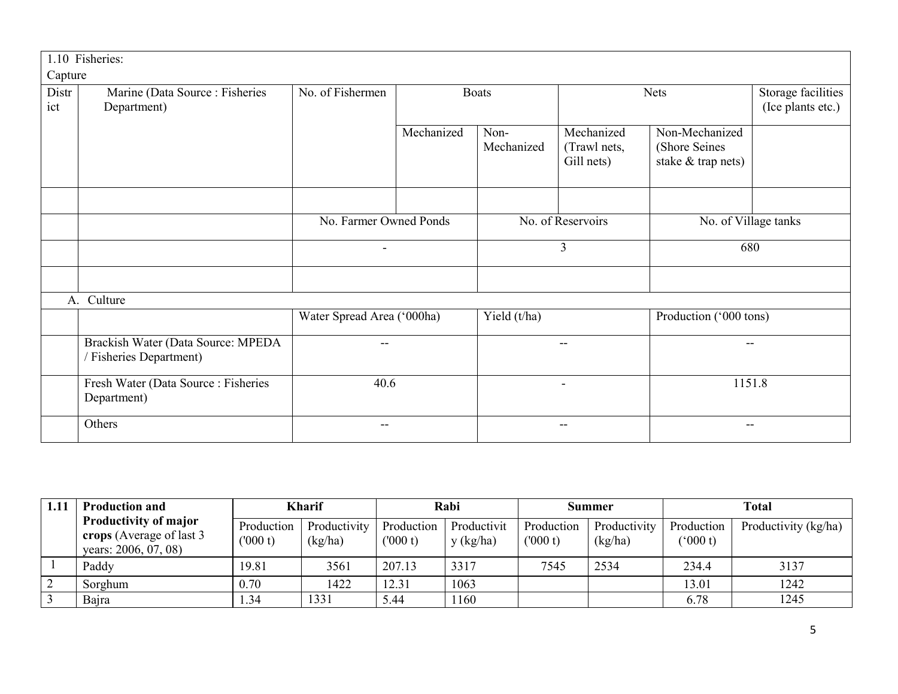|             | 1.10 Fisheries:                                             |                            |            |                   |                          |                        |                    |  |
|-------------|-------------------------------------------------------------|----------------------------|------------|-------------------|--------------------------|------------------------|--------------------|--|
| Capture     |                                                             |                            |            |                   |                          |                        |                    |  |
| Distr       | Marine (Data Source: Fisheries                              | No. of Fishermen           |            | <b>Boats</b>      |                          | <b>Nets</b>            | Storage facilities |  |
| ict         | Department)                                                 |                            |            |                   |                          |                        | (Ice plants etc.)  |  |
|             |                                                             |                            | Mechanized | Non-              | Mechanized               | Non-Mechanized         |                    |  |
|             |                                                             |                            |            | Mechanized        | (Trawl nets,             | (Shore Seines          |                    |  |
|             |                                                             |                            |            |                   | Gill nets)               | stake & trap nets)     |                    |  |
|             |                                                             |                            |            |                   |                          |                        |                    |  |
|             |                                                             |                            |            |                   |                          |                        |                    |  |
|             |                                                             | No. Farmer Owned Ponds     |            | No. of Reservoirs |                          | No. of Village tanks   |                    |  |
|             |                                                             |                            |            | 3                 |                          | 680                    |                    |  |
|             |                                                             |                            |            |                   |                          |                        |                    |  |
| $A_{\cdot}$ | Culture                                                     |                            |            |                   |                          |                        |                    |  |
|             |                                                             | Water Spread Area ('000ha) |            | Yield $(t/ha)$    |                          | Production ('000 tons) |                    |  |
|             | Brackish Water (Data Source: MPEDA<br>Fisheries Department) | --                         |            |                   | $\overline{\phantom{m}}$ |                        | --                 |  |
|             | Fresh Water (Data Source: Fisheries<br>Department)          | 40.6                       |            | $\blacksquare$    |                          | 1151.8                 |                    |  |
|             | Others                                                      | --                         |            |                   | $\overline{\phantom{m}}$ | $- -$                  |                    |  |

|            | <b>Production and</b>                                                             |                        | <b>Kharif</b>           | Rabi                  |                          | Summer                |                         | <b>Total</b>          |                      |
|------------|-----------------------------------------------------------------------------------|------------------------|-------------------------|-----------------------|--------------------------|-----------------------|-------------------------|-----------------------|----------------------|
|            | <b>Productivity of major</b><br>crops (Average of last 3)<br>years: 2006, 07, 08) | Production<br>(1000 t) | Productivity<br>(kg/ha) | Production<br>(000 t) | Productivit<br>y (kg/ha) | Production<br>(000 t) | Productivity<br>(kg/ha) | Production<br>(000 t) | Productivity (kg/ha) |
|            | Paddy                                                                             | 19.81                  | 3561                    | 207.13                | 3317                     | 7545                  | 2534                    | 234.4                 | 3137                 |
| $\sqrt{2}$ | Sorghum                                                                           | 0.70                   | 1422                    | 12.31                 | 1063                     |                       |                         | 13.01                 | 1242                 |
| 3          | Bajra                                                                             | .34                    | 1331                    | 5.44                  | 1160                     |                       |                         | 6.78                  | 1245                 |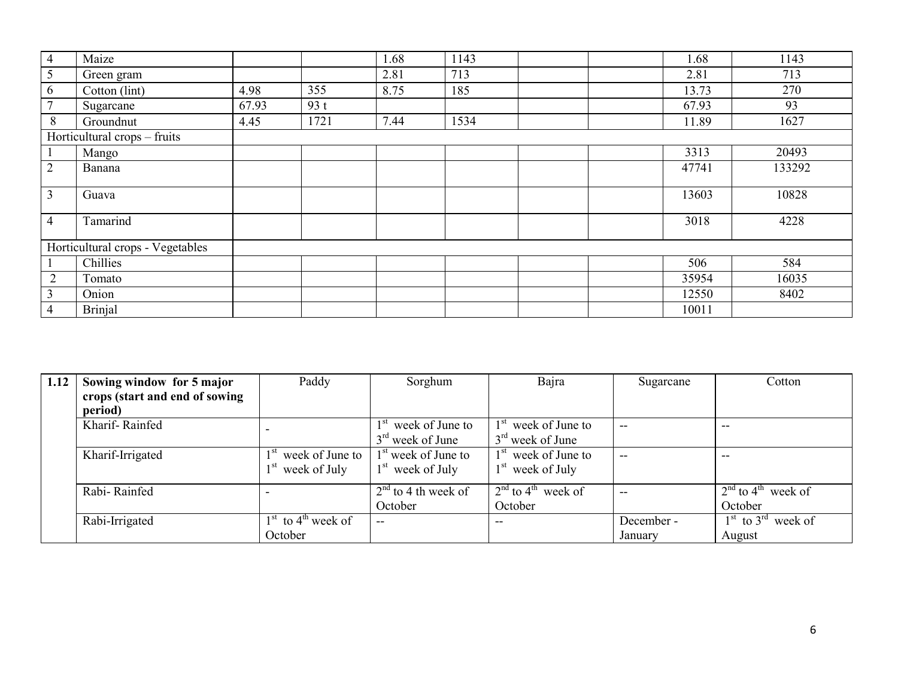| $\overline{4}$ | Maize                            |       |      | 1.68 | 1143 |  | 1.68  | 1143   |
|----------------|----------------------------------|-------|------|------|------|--|-------|--------|
| 5              | Green gram                       |       |      | 2.81 | 713  |  | 2.81  | 713    |
| 6              | Cotton (lint)                    | 4.98  | 355  | 8.75 | 185  |  | 13.73 | 270    |
| $\overline{7}$ | Sugarcane                        | 67.93 | 93t  |      |      |  | 67.93 | 93     |
| 8              | Groundnut                        | 4.45  | 1721 | 7.44 | 1534 |  | 11.89 | 1627   |
|                | Horticultural crops – fruits     |       |      |      |      |  |       |        |
| $\mathbf{1}$   | Mango                            |       |      |      |      |  | 3313  | 20493  |
| $\overline{2}$ | Banana                           |       |      |      |      |  | 47741 | 133292 |
| $\overline{3}$ | Guava                            |       |      |      |      |  | 13603 | 10828  |
| $\overline{4}$ | Tamarind                         |       |      |      |      |  | 3018  | 4228   |
|                | Horticultural crops - Vegetables |       |      |      |      |  |       |        |
|                | Chillies                         |       |      |      |      |  | 506   | 584    |
| $\overline{2}$ | Tomato                           |       |      |      |      |  | 35954 | 16035  |
| $\mathfrak{Z}$ | Onion                            |       |      |      |      |  | 12550 | 8402   |
| $\overline{4}$ | <b>Brinjal</b>                   |       |      |      |      |  | 10011 |        |

| 1.12 | Sowing window for 5 major      | Paddy                           | Sorghum               | Bajra                            | Sugarcane  | Cotton                                             |
|------|--------------------------------|---------------------------------|-----------------------|----------------------------------|------------|----------------------------------------------------|
|      | crops (start and end of sowing |                                 |                       |                                  |            |                                                    |
|      | period)                        |                                 |                       |                                  |            |                                                    |
|      | Kharif-Rainfed                 |                                 | week of June to       | week of June to                  | $- -$      | $- -$                                              |
|      |                                |                                 | $3rd$ week of June    | $3rd$ week of June               |            |                                                    |
|      | Kharif-Irrigated               | 1 <sup>st</sup> week of June to | $1st$ week of June to | $1st$ week of June to            | $- -$      | $- -$                                              |
|      |                                | $1st$ week of July              | $1st$ week of July    | $1st$ week of July               |            |                                                    |
|      | Rabi-Rainfed                   |                                 | $2nd$ to 4 th week of | $2nd$ to 4 <sup>th</sup> week of | --         | $2nd$ to 4 <sup>th</sup> week of                   |
|      |                                |                                 | October               | October                          |            | October                                            |
|      | Rabi-Irrigated                 | $1st$ to $4th$ week of          | $- -$                 | $- -$                            | December - | $\frac{1^{st}}{1^{st}}$ to 3 <sup>rd</sup> week of |
|      |                                | October                         |                       |                                  | January    | August                                             |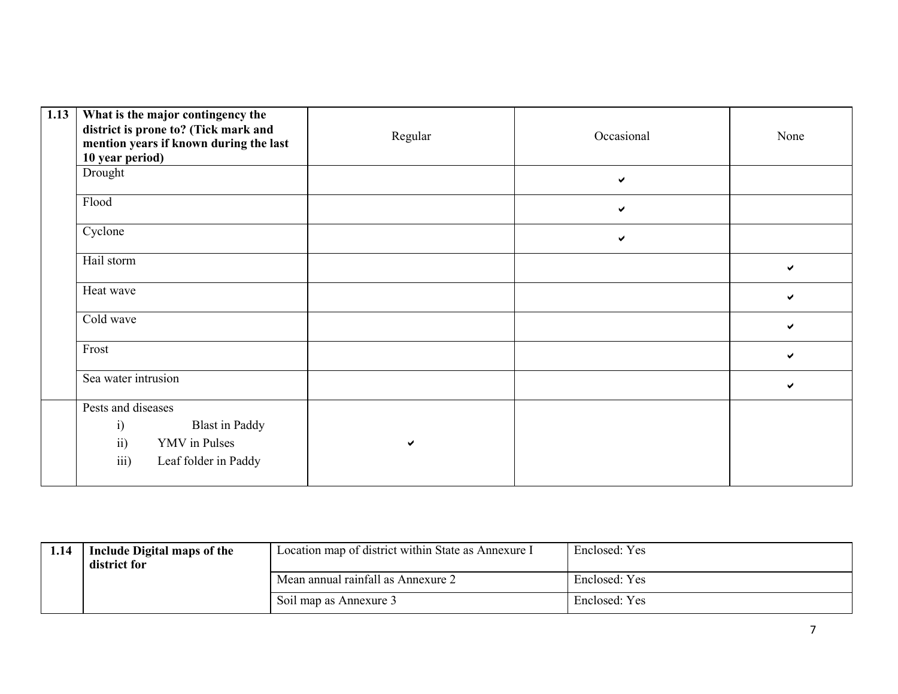| 1.13 | What is the major contingency the<br>district is prone to? (Tick mark and<br>mention years if known during the last<br>10 year period) | Regular | Occasional   | None |
|------|----------------------------------------------------------------------------------------------------------------------------------------|---------|--------------|------|
|      | Drought                                                                                                                                |         | $\checkmark$ |      |
|      | Flood                                                                                                                                  |         | $\checkmark$ |      |
|      | Cyclone                                                                                                                                |         | $\checkmark$ |      |
|      | Hail storm                                                                                                                             |         |              | ✔    |
|      | Heat wave                                                                                                                              |         |              | ✔    |
|      | Cold wave                                                                                                                              |         |              | ✔    |
|      | Frost                                                                                                                                  |         |              | ✔    |
|      | Sea water intrusion                                                                                                                    |         |              | ✔    |
|      | Pests and diseases<br>i)<br><b>Blast</b> in Paddy<br>ii)<br>YMV in Pulses<br>iii)<br>Leaf folder in Paddy                              | ✔       |              |      |

| 1.14 | Include Digital maps of the | Location map of district within State as Annexure I | Enclosed: Yes |
|------|-----------------------------|-----------------------------------------------------|---------------|
|      | district for                |                                                     |               |
|      |                             | Mean annual rainfall as Annexure 2                  | Enclosed: Yes |
|      |                             | Soil map as Annexure 3                              | Enclosed: Yes |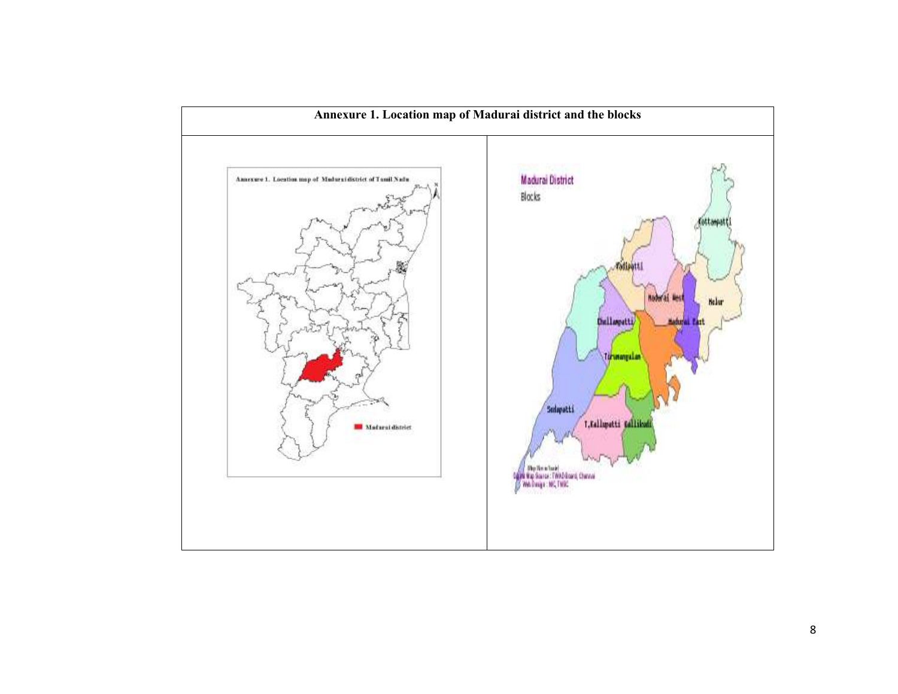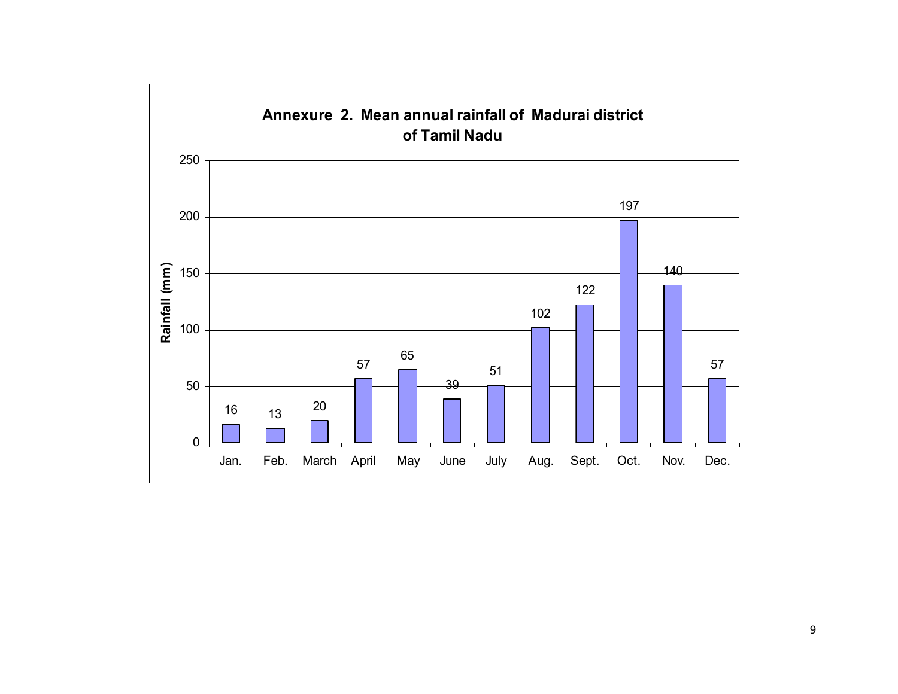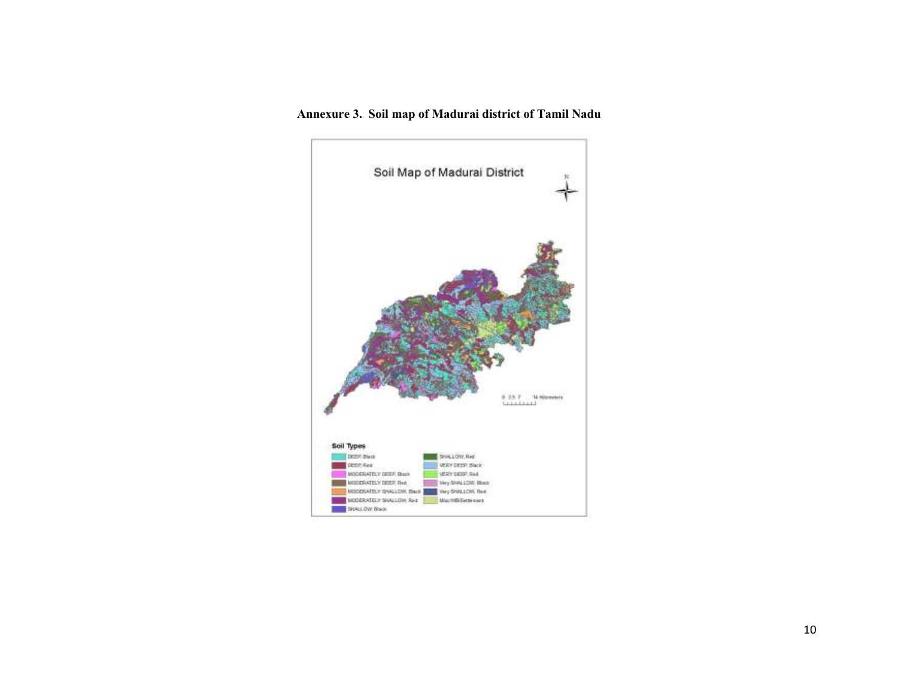#### Annexure 3. Soil map of Madurai district of Tamil Nadu

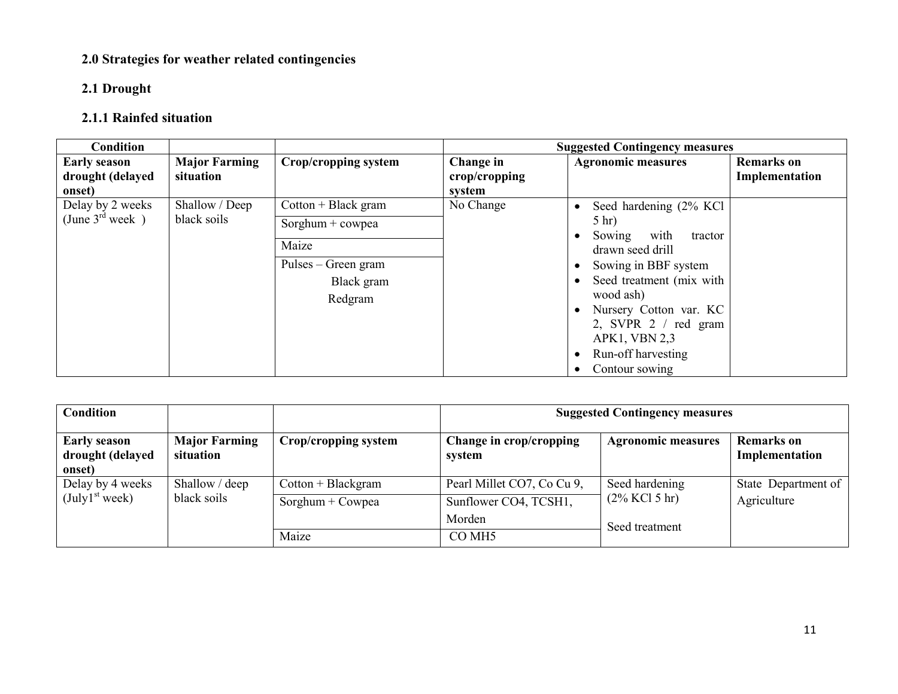## 2.0 Strategies for weather related contingencies

## 2.1 Drought

# 2.1.1 Rainfed situation

| <b>Condition</b>           |                                   |                       |                         | <b>Suggested Contingency measures</b>         |                   |
|----------------------------|-----------------------------------|-----------------------|-------------------------|-----------------------------------------------|-------------------|
| <b>Early season</b>        | <b>Major Farming</b><br>situation | Crop/cropping system  | Change in               | <b>Agronomic measures</b>                     | <b>Remarks</b> on |
| drought (delayed<br>onset) |                                   |                       | crop/cropping<br>system |                                               | Implementation    |
| Delay by 2 weeks           | Shallow / Deep                    | $Cottom + Black gram$ | No Change               | Seed hardening (2% KCl)                       |                   |
| (June $3^{rd}$ week)       | black soils                       | Sorghum + $c$ owpea   |                         | $5$ hr)                                       |                   |
|                            | Maize                             |                       |                         | with<br>Sowing<br>tractor<br>drawn seed drill |                   |
|                            |                                   | Pulses – Green gram   |                         | Sowing in BBF system                          |                   |
|                            |                                   | Black gram            |                         | Seed treatment (mix with                      |                   |
|                            |                                   | Redgram               |                         | wood ash)<br>Nursery Cotton var. KC           |                   |
|                            |                                   |                       |                         | 2, SVPR 2 / red gram                          |                   |
|                            |                                   |                       |                         | APK1, VBN 2,3                                 |                   |
|                            |                                   |                       |                         | Run-off harvesting                            |                   |
|                            |                                   |                       |                         | Contour sowing                                |                   |

| <b>Condition</b>                                  |                                   |                      |                                   | <b>Suggested Contingency measures</b> |                              |
|---------------------------------------------------|-----------------------------------|----------------------|-----------------------------------|---------------------------------------|------------------------------|
| <b>Early season</b><br>drought (delayed<br>onset) | <b>Major Farming</b><br>situation | Crop/cropping system | Change in crop/cropping<br>system | <b>Agronomic measures</b>             | Remarks on<br>Implementation |
| Delay by 4 weeks                                  | Shallow / deep                    | $Cottom + Blackgram$ | Pearl Millet CO7, Co Cu 9,        | Seed hardening                        | State Department of          |
| (July1 <sup>st</sup> week)                        | black soils                       | Sorghum + Cowpea     | Sunflower CO4, TCSH1,             | $(2\%$ KCl 5 hr)                      | Agriculture                  |
|                                                   |                                   |                      | Morden                            | Seed treatment                        |                              |
|                                                   |                                   | Maize                | CO MH <sub>5</sub>                |                                       |                              |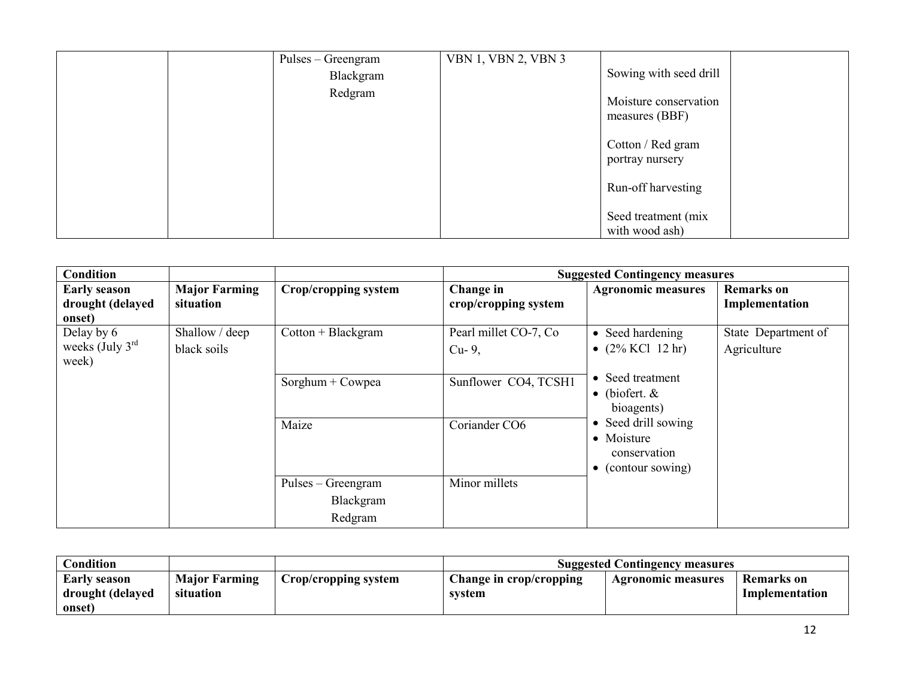|  | Pulses – Greengram | <b>VBN 1, VBN 2, VBN 3</b> |                                         |  |
|--|--------------------|----------------------------|-----------------------------------------|--|
|  | Blackgram          |                            | Sowing with seed drill                  |  |
|  | Redgram            |                            | Moisture conservation<br>measures (BBF) |  |
|  |                    |                            | Cotton / Red gram<br>portray nursery    |  |
|  |                    |                            | Run-off harvesting                      |  |
|  |                    |                            | Seed treatment (mix<br>with wood ash)   |  |

| <b>Condition</b>                                   |                                   |                                 |                                   | <b>Suggested Contingency measures</b>                                           |                                    |
|----------------------------------------------------|-----------------------------------|---------------------------------|-----------------------------------|---------------------------------------------------------------------------------|------------------------------------|
| <b>Early season</b><br>drought (delayed<br>onset)  | <b>Major Farming</b><br>situation | Crop/cropping system            | Change in<br>crop/cropping system | <b>Agronomic measures</b>                                                       | Remarks on<br>Implementation       |
| Delay by 6<br>weeks (July $3^{\text{rd}}$<br>week) | Shallow / deep<br>black soils     | $Cottom + Blackgram$            | Pearl millet CO-7, Co<br>$Cu-9$ , | • Seed hardening<br>• $(2\%$ KCl 12 hr)                                         | State Department of<br>Agriculture |
|                                                    |                                   | Sorghum + Cowpea                | Sunflower CO4, TCSH1              | • Seed treatment<br>$\bullet$ (biofert. &<br>bioagents)                         |                                    |
|                                                    |                                   | Maize                           | Coriander CO6                     | • Seed drill sowing<br>• Moisture<br>conservation<br>$\bullet$ (contour sowing) |                                    |
|                                                    |                                   | Pulses - Greengram<br>Blackgram | Minor millets                     |                                                                                 |                                    |
|                                                    |                                   | Redgram                         |                                   |                                                                                 |                                    |

| <b>Condition</b>                        |                                   |                      | <b>Suggested Contingency measures</b> |                           |                              |
|-----------------------------------------|-----------------------------------|----------------------|---------------------------------------|---------------------------|------------------------------|
| <b>Early season</b><br>drought (delayed | <b>Major Farming</b><br>situation | Crop/cropping system | Change in crop/cropping<br>svstem     | <b>Agronomic measures</b> | Remarks on<br>Implementation |
| onset)                                  |                                   |                      |                                       |                           |                              |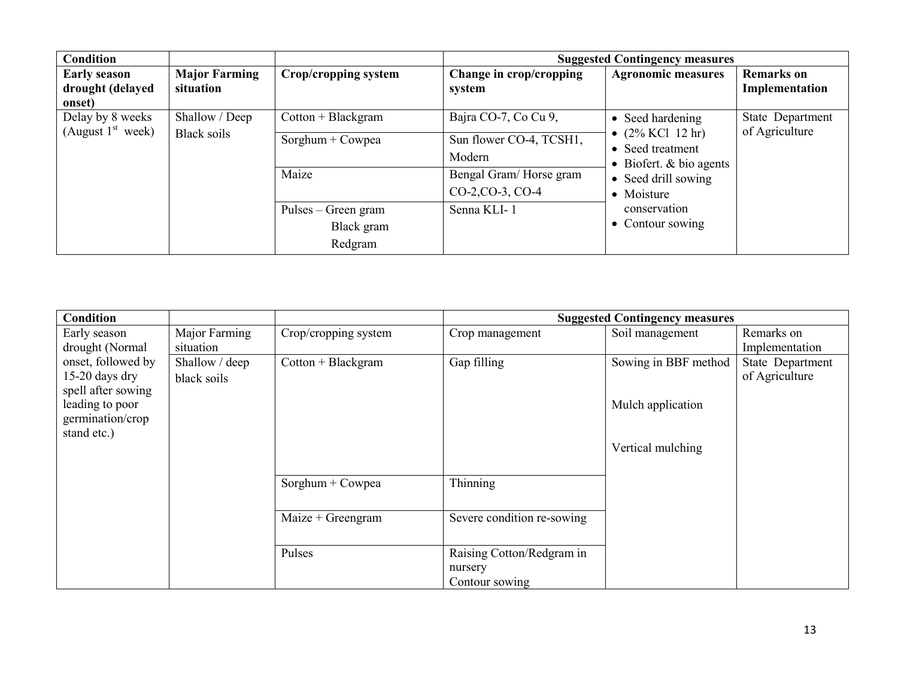| <b>Condition</b>                                  |                                   |                                              |                                            | <b>Suggested Contingency measures</b>                                                                                                         |                                     |
|---------------------------------------------------|-----------------------------------|----------------------------------------------|--------------------------------------------|-----------------------------------------------------------------------------------------------------------------------------------------------|-------------------------------------|
| <b>Early season</b><br>drought (delayed<br>onset) | <b>Major Farming</b><br>situation | Crop/cropping system                         | Change in crop/cropping<br>system          | <b>Agronomic measures</b>                                                                                                                     | <b>Remarks</b> on<br>Implementation |
| Delay by 8 weeks                                  | Shallow / Deep                    | $Cottom + Blackgram$                         | Bajra CO-7, Co Cu 9,                       | • Seed hardening                                                                                                                              | State Department                    |
| (August $1st$ week)                               | Black soils                       | Sorghum + Cowpea                             | Sun flower CO-4, TCSH1,<br>Modern          | • $(2\%$ KCl 12 hr)<br>• Seed treatment<br>• Biofert. $& bio agents$<br>• Seed drill sowing<br>• Moisture<br>conservation<br>• Contour sowing | of Agriculture                      |
|                                                   |                                   | Maize                                        | Bengal Gram/Horse gram<br>CO-2, CO-3, CO-4 |                                                                                                                                               |                                     |
|                                                   |                                   | Pulses – Green gram<br>Black gram<br>Redgram | Senna KLI-1                                |                                                                                                                                               |                                     |

| <b>Condition</b>   |                |                      |                            | <b>Suggested Contingency measures</b> |                  |
|--------------------|----------------|----------------------|----------------------------|---------------------------------------|------------------|
| Early season       | Major Farming  | Crop/cropping system | Crop management            | Soil management                       | Remarks on       |
| drought (Normal    | situation      |                      |                            |                                       | Implementation   |
| onset, followed by | Shallow / deep | $Cottom + Blackgram$ | Gap filling                | Sowing in BBF method                  | State Department |
| 15-20 days dry     | black soils    |                      |                            |                                       | of Agriculture   |
| spell after sowing |                |                      |                            |                                       |                  |
| leading to poor    |                |                      |                            | Mulch application                     |                  |
| germination/crop   |                |                      |                            |                                       |                  |
| stand etc.)        |                |                      |                            |                                       |                  |
|                    |                |                      |                            | Vertical mulching                     |                  |
|                    |                |                      |                            |                                       |                  |
|                    |                | Sorghum + Cowpea     | Thinning                   |                                       |                  |
|                    |                |                      |                            |                                       |                  |
|                    |                | Maize + Greengram    | Severe condition re-sowing |                                       |                  |
|                    |                |                      |                            |                                       |                  |
|                    |                |                      |                            |                                       |                  |
|                    |                | Pulses               | Raising Cotton/Redgram in  |                                       |                  |
|                    |                |                      | nursery                    |                                       |                  |
|                    |                |                      | Contour sowing             |                                       |                  |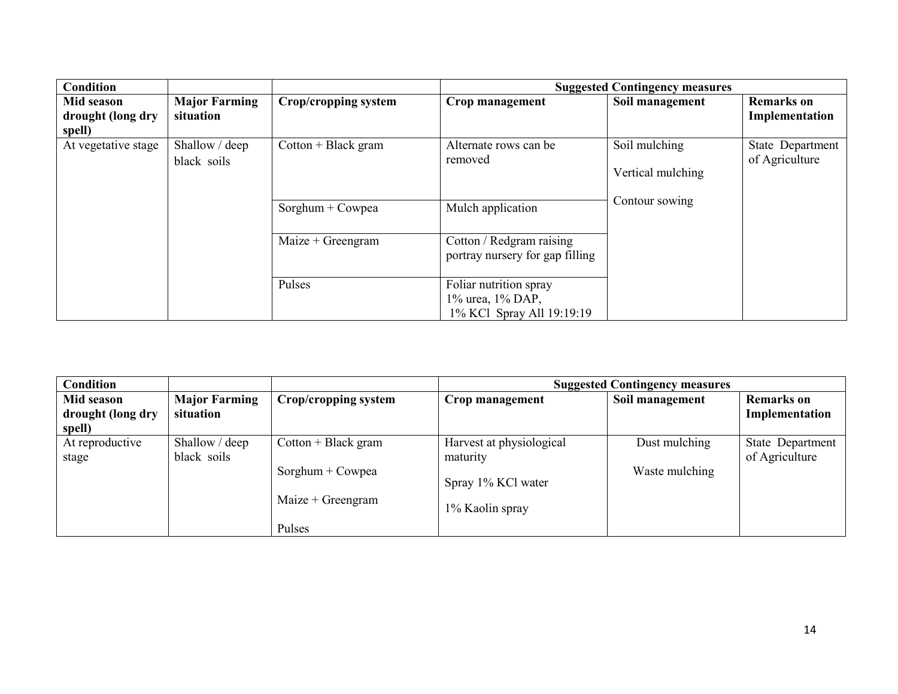| <b>Condition</b>                          |                                   |                       |                                                                         | <b>Suggested Contingency measures</b> |                                     |
|-------------------------------------------|-----------------------------------|-----------------------|-------------------------------------------------------------------------|---------------------------------------|-------------------------------------|
| Mid season<br>drought (long dry<br>spell) | <b>Major Farming</b><br>situation | Crop/cropping system  | Crop management                                                         | Soil management                       | <b>Remarks</b> on<br>Implementation |
| At vegetative stage                       | Shallow / deep<br>black soils     | $Cottom + Black gram$ | Alternate rows can be<br>removed                                        | Soil mulching<br>Vertical mulching    | State Department<br>of Agriculture  |
|                                           |                                   | Sorghum + Cowpea      | Mulch application                                                       | Contour sowing                        |                                     |
|                                           |                                   | Maize + Greengram     | Cotton / Redgram raising<br>portray nursery for gap filling             |                                       |                                     |
|                                           |                                   | Pulses                | Foliar nutrition spray<br>1% urea, 1% DAP,<br>1% KCl Spray All 19:19:19 |                                       |                                     |

| <b>Condition</b>                          |                                   |                                                                  |                                                                               | <b>Suggested Contingency measures</b> |                                     |
|-------------------------------------------|-----------------------------------|------------------------------------------------------------------|-------------------------------------------------------------------------------|---------------------------------------|-------------------------------------|
| Mid season<br>drought (long dry<br>spell) | <b>Major Farming</b><br>situation | Crop/cropping system                                             | Crop management                                                               | Soil management                       | <b>Remarks</b> on<br>Implementation |
| At reproductive<br>stage                  | Shallow / deep<br>black soils     | $Cottom + Black gram$<br>Sorghum + Cowpea<br>Maize $+$ Greengram | Harvest at physiological<br>maturity<br>Spray 1% KCl water<br>1% Kaolin spray | Dust mulching<br>Waste mulching       | State Department<br>of Agriculture  |
|                                           |                                   | Pulses                                                           |                                                                               |                                       |                                     |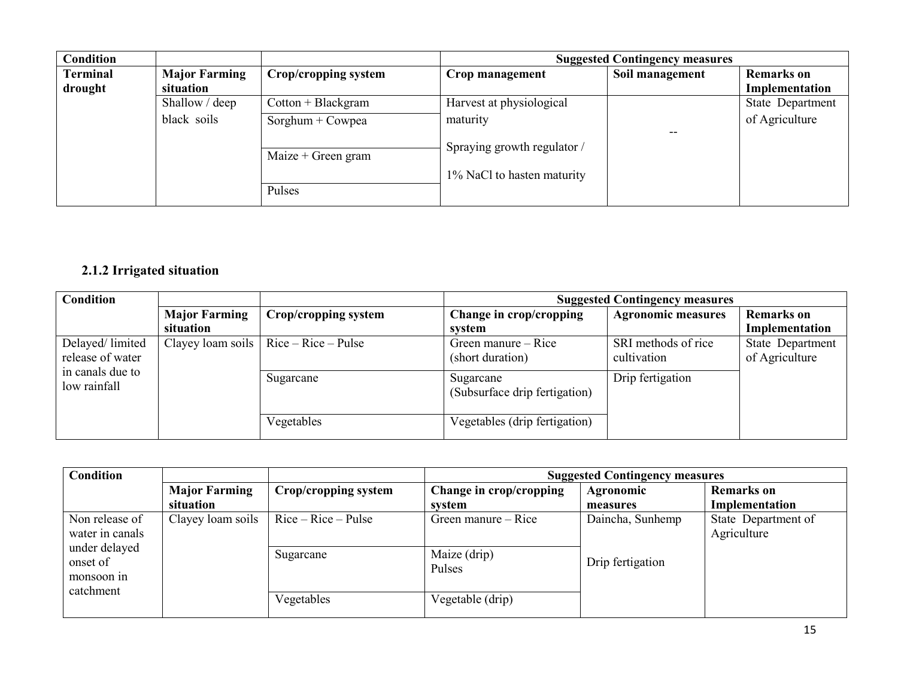| Condition       |                      |                      |                             | <b>Suggested Contingency measures</b> |                   |
|-----------------|----------------------|----------------------|-----------------------------|---------------------------------------|-------------------|
| <b>Terminal</b> | <b>Major Farming</b> | Crop/cropping system | Crop management             | Soil management                       | <b>Remarks</b> on |
| drought         | situation            |                      |                             |                                       | Implementation    |
|                 | Shallow / deep       | $Cottom + Blackgram$ | Harvest at physiological    |                                       | State Department  |
|                 | black soils          | Sorghum + Cowpea     | maturity                    |                                       | of Agriculture    |
|                 |                      |                      | Spraying growth regulator / |                                       |                   |
|                 |                      | Maize $+$ Green gram |                             |                                       |                   |
|                 |                      |                      | 1% NaCl to hasten maturity  |                                       |                   |
|                 |                      | Pulses               |                             |                                       |                   |

## 2.1.2 Irrigated situation

| Condition                        |                      |                                               | <b>Suggested Contingency measures</b>      |                           |                   |
|----------------------------------|----------------------|-----------------------------------------------|--------------------------------------------|---------------------------|-------------------|
|                                  | <b>Major Farming</b> | Crop/cropping system                          | Change in crop/cropping                    | <b>Agronomic measures</b> | <b>Remarks</b> on |
|                                  | situation            |                                               | system                                     |                           | Implementation    |
| Delayed/limited                  |                      | Clayey loam soils $\vert$ Rice – Rice – Pulse | Green manure – Rice                        | SRI methods of rice       | State Department  |
| release of water                 |                      |                                               | (short duration)                           | cultivation               | of Agriculture    |
| in canals due to<br>low rainfall |                      | Sugarcane                                     | Sugarcane<br>(Subsurface drip fertigation) | Drip fertigation          |                   |
|                                  |                      | Vegetables                                    | Vegetables (drip fertigation)              |                           |                   |

| Condition                                          |                      | <b>Suggested Contingency measures</b> |                                     |                  |                                    |
|----------------------------------------------------|----------------------|---------------------------------------|-------------------------------------|------------------|------------------------------------|
|                                                    | <b>Major Farming</b> | Crop/cropping system                  | Change in crop/cropping             | Agronomic        | <b>Remarks</b> on                  |
|                                                    | situation            |                                       | system                              | measures         | Implementation                     |
| Non release of<br>water in canals<br>under delayed | Clayey loam soils    | $Rice - Rice - Pulse$                 | Green manure – Rice<br>Maize (drip) | Daincha, Sunhemp | State Department of<br>Agriculture |
| onset of<br>monsoon in<br>catchment                |                      | Sugarcane<br>Vegetables               | Pulses<br>Vegetable (drip)          | Drip fertigation |                                    |
|                                                    |                      |                                       |                                     |                  |                                    |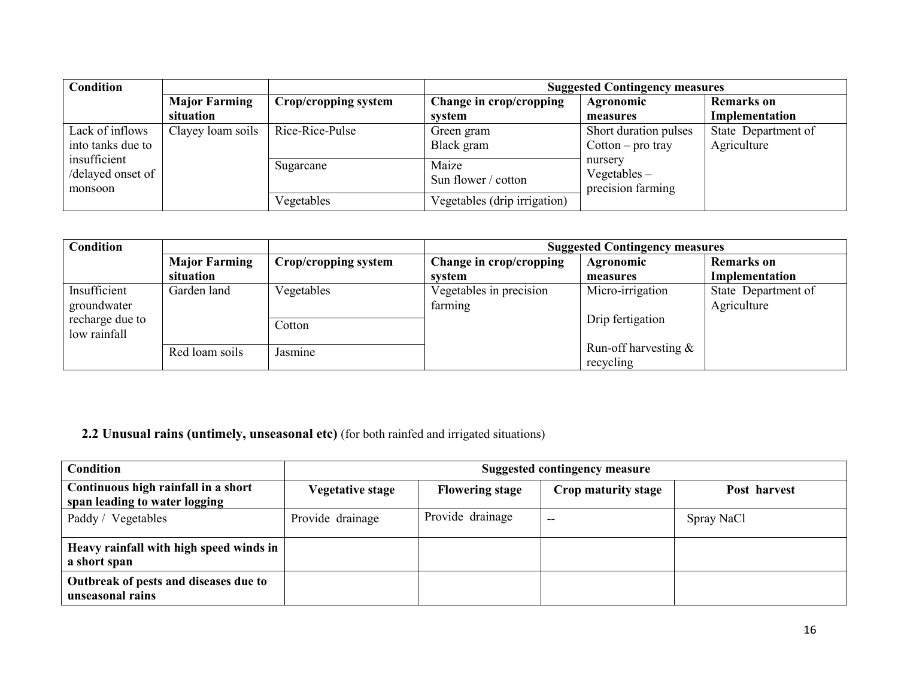| <b>Condition</b>                             |                      |                      | <b>Suggested Contingency measures</b> |                                                |                     |
|----------------------------------------------|----------------------|----------------------|---------------------------------------|------------------------------------------------|---------------------|
|                                              | <b>Major Farming</b> | Crop/cropping system | Change in crop/cropping               | Agronomic                                      | <b>Remarks</b> on   |
|                                              | situation            |                      | system                                | measures                                       | Implementation      |
| Lack of inflows                              | Clayey loam soils    | Rice-Rice-Pulse      | Green gram                            | Short duration pulses                          | State Department of |
| into tanks due to                            |                      |                      | Black gram                            | $Cottom - pro tray$                            | Agriculture         |
| insufficient<br>/delayed onset of<br>monsoon | Sugarcane            |                      | Maize<br>Sun flower / cotton          | nursery<br>Vegetables $-$<br>precision farming |                     |
|                                              |                      | Vegetables           | Vegetables (drip irrigation)          |                                                |                     |

| <b>Condition</b>                |                                   |                      | <b>Suggested Contingency measures</b> |                                      |                                     |
|---------------------------------|-----------------------------------|----------------------|---------------------------------------|--------------------------------------|-------------------------------------|
|                                 | <b>Major Farming</b><br>situation | Crop/cropping system | Change in crop/cropping<br>system     | Agronomic<br>measures                | <b>Remarks</b> on<br>Implementation |
| Insufficient<br>groundwater     | Garden land                       | Vegetables           | Vegetables in precision<br>farming    | Micro-irrigation                     | State Department of<br>Agriculture  |
| recharge due to<br>low rainfall |                                   | Cotton               |                                       | Drip fertigation                     |                                     |
|                                 | Red loam soils                    | Jasmine              |                                       | Run-off harvesting $\&$<br>recycling |                                     |

#### 2.2 Unusual rains (untimely, unseasonal etc) (for both rainfed and irrigated situations)

| <b>Condition</b>                                                     |                         |                        | <b>Suggested contingency measure</b> |              |
|----------------------------------------------------------------------|-------------------------|------------------------|--------------------------------------|--------------|
| Continuous high rainfall in a short<br>span leading to water logging | <b>Vegetative stage</b> | <b>Flowering stage</b> | Crop maturity stage                  | Post harvest |
| Paddy /<br>Vegetables                                                | Provide drainage        | Provide drainage       | $\overline{\phantom{m}}$             | Spray NaCl   |
| Heavy rainfall with high speed winds in<br>a short span              |                         |                        |                                      |              |
| Outbreak of pests and diseases due to<br>unseasonal rains            |                         |                        |                                      |              |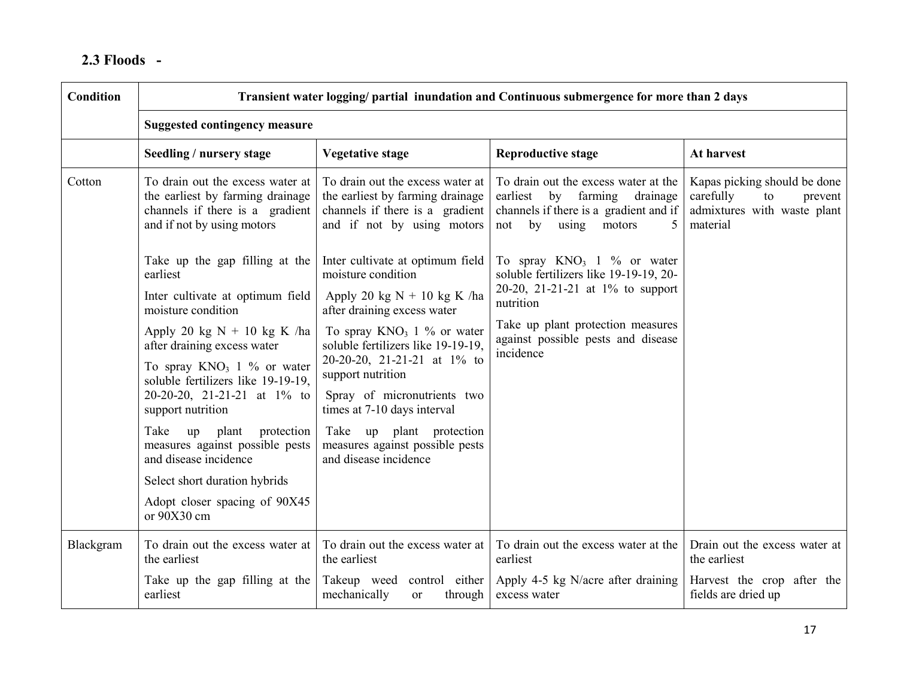# 2.3 Floods -

| <b>Condition</b>                                       | Transient water logging/ partial inundation and Continuous submergence for more than 2 days                                           |                                                                                                                                       |                                                                                                                                                           |                                                                                                       |  |
|--------------------------------------------------------|---------------------------------------------------------------------------------------------------------------------------------------|---------------------------------------------------------------------------------------------------------------------------------------|-----------------------------------------------------------------------------------------------------------------------------------------------------------|-------------------------------------------------------------------------------------------------------|--|
|                                                        | <b>Suggested contingency measure</b>                                                                                                  |                                                                                                                                       |                                                                                                                                                           |                                                                                                       |  |
|                                                        | Seedling / nursery stage                                                                                                              | <b>Vegetative stage</b>                                                                                                               | <b>Reproductive stage</b>                                                                                                                                 | At harvest                                                                                            |  |
| Cotton                                                 | To drain out the excess water at<br>the earliest by farming drainage<br>channels if there is a gradient<br>and if not by using motors | To drain out the excess water at<br>the earliest by farming drainage<br>channels if there is a gradient<br>and if not by using motors | To drain out the excess water at the<br>by farming<br>earliest<br>drainage<br>channels if there is a gradient and if<br>by<br>not<br>using<br>motors<br>5 | Kapas picking should be done<br>carefully<br>to<br>prevent<br>admixtures with waste plant<br>material |  |
|                                                        | Take up the gap filling at the<br>earliest                                                                                            | Inter cultivate at optimum field<br>moisture condition                                                                                | To spray $KNO_3$ 1 % or water<br>soluble fertilizers like 19-19-19, 20-                                                                                   |                                                                                                       |  |
| Inter cultivate at optimum field<br>moisture condition | Apply 20 kg $N + 10$ kg K /ha<br>after draining excess water                                                                          | 20-20, 21-21-21 at 1% to support<br>nutrition                                                                                         |                                                                                                                                                           |                                                                                                       |  |
|                                                        | Apply 20 kg $N + 10$ kg K /ha<br>after draining excess water                                                                          | To spray $KNO_3$ 1 % or water<br>soluble fertilizers like 19-19-19,                                                                   | Take up plant protection measures<br>against possible pests and disease<br>incidence                                                                      |                                                                                                       |  |
|                                                        | To spray $KNO_3$ 1 % or water<br>soluble fertilizers like 19-19-19,                                                                   | 20-20-20, 21-21-21 at 1% to<br>support nutrition                                                                                      |                                                                                                                                                           |                                                                                                       |  |
|                                                        | 20-20-20, 21-21-21 at 1% to<br>support nutrition                                                                                      | Spray of micronutrients two<br>times at 7-10 days interval                                                                            |                                                                                                                                                           |                                                                                                       |  |
|                                                        | Take<br>up plant protection<br>measures against possible pests<br>and disease incidence                                               | Take up plant protection<br>measures against possible pests<br>and disease incidence                                                  |                                                                                                                                                           |                                                                                                       |  |
|                                                        | Select short duration hybrids                                                                                                         |                                                                                                                                       |                                                                                                                                                           |                                                                                                       |  |
|                                                        | Adopt closer spacing of 90X45<br>or 90X30 cm                                                                                          |                                                                                                                                       |                                                                                                                                                           |                                                                                                       |  |
| Blackgram                                              | To drain out the excess water at To drain out the excess water at<br>the earliest                                                     | the earliest                                                                                                                          | To drain out the excess water at the<br>earliest                                                                                                          | Drain out the excess water at<br>the earliest                                                         |  |
|                                                        | Take up the gap filling at the<br>earliest                                                                                            | Takeup weed control either<br>mechanically<br>through<br><b>or</b>                                                                    | Apply 4-5 kg N/acre after draining<br>excess water                                                                                                        | Harvest the crop after the<br>fields are dried up                                                     |  |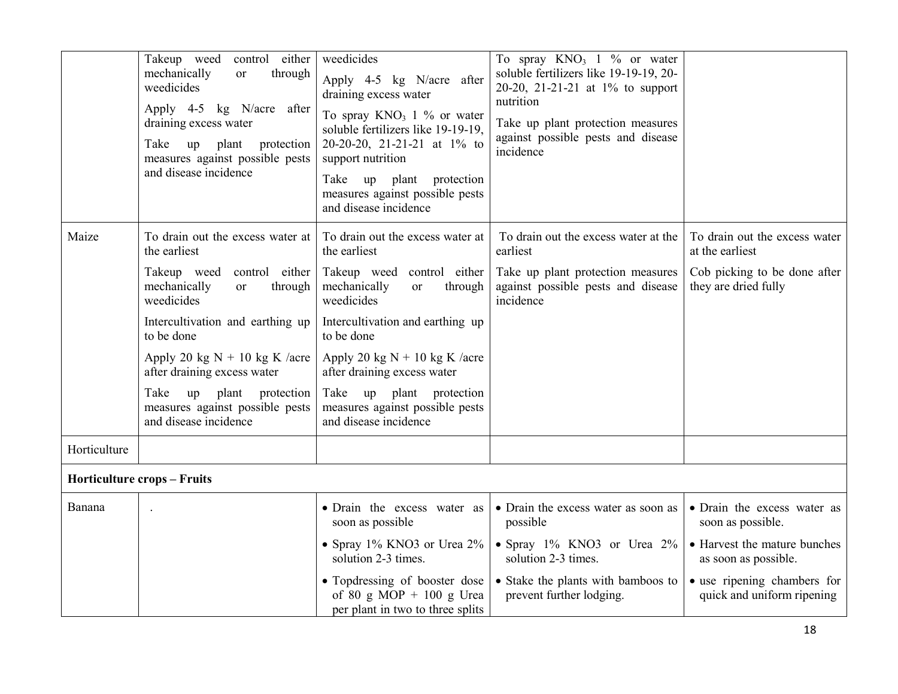|              | Takeup weed<br>control either<br>mechanically<br>through<br>or<br>weedicides<br>Apply 4-5 kg N/acre after<br>draining excess water<br>Take<br>plant<br>protection<br>up<br>measures against possible pests<br>and disease incidence | weedicides<br>Apply 4-5 kg N/acre after<br>draining excess water<br>To spray $KNO_3$ 1 % or water<br>soluble fertilizers like 19-19-19,<br>20-20-20, 21-21-21 at 1% to<br>support nutrition<br>protection<br>Take<br>up plant<br>measures against possible pests<br>and disease incidence | To spray $KNO_3$ 1 % or water<br>soluble fertilizers like 19-19-19, 20-<br>20-20, 21-21-21 at 1% to support<br>nutrition<br>Take up plant protection measures<br>against possible pests and disease<br>incidence |                                                           |
|--------------|-------------------------------------------------------------------------------------------------------------------------------------------------------------------------------------------------------------------------------------|-------------------------------------------------------------------------------------------------------------------------------------------------------------------------------------------------------------------------------------------------------------------------------------------|------------------------------------------------------------------------------------------------------------------------------------------------------------------------------------------------------------------|-----------------------------------------------------------|
| Maize        | To drain out the excess water at<br>the earliest                                                                                                                                                                                    | To drain out the excess water at<br>the earliest                                                                                                                                                                                                                                          | To drain out the excess water at the<br>earliest                                                                                                                                                                 | To drain out the excess water<br>at the earliest          |
|              | Takeup weed<br>control either<br>mechanically<br>through<br>or<br>weedicides                                                                                                                                                        | Takeup weed control either<br>mechanically<br>through<br><sub>or</sub><br>weedicides                                                                                                                                                                                                      | Take up plant protection measures<br>against possible pests and disease<br>incidence                                                                                                                             | Cob picking to be done after<br>they are dried fully      |
|              | Intercultivation and earthing up<br>to be done                                                                                                                                                                                      | Intercultivation and earthing up<br>to be done                                                                                                                                                                                                                                            |                                                                                                                                                                                                                  |                                                           |
|              | Apply 20 kg $N + 10$ kg K /acre<br>after draining excess water                                                                                                                                                                      | Apply 20 kg $N + 10$ kg K /acre<br>after draining excess water                                                                                                                                                                                                                            |                                                                                                                                                                                                                  |                                                           |
|              | Take<br>up<br>plant<br>protection<br>measures against possible pests<br>and disease incidence                                                                                                                                       | Take<br>up plant protection<br>measures against possible pests<br>and disease incidence                                                                                                                                                                                                   |                                                                                                                                                                                                                  |                                                           |
| Horticulture |                                                                                                                                                                                                                                     |                                                                                                                                                                                                                                                                                           |                                                                                                                                                                                                                  |                                                           |
|              | <b>Horticulture crops - Fruits</b>                                                                                                                                                                                                  |                                                                                                                                                                                                                                                                                           |                                                                                                                                                                                                                  |                                                           |
| Banana       |                                                                                                                                                                                                                                     | • Drain the excess water as<br>soon as possible                                                                                                                                                                                                                                           | • Drain the excess water as soon as<br>possible                                                                                                                                                                  | • Drain the excess water as<br>soon as possible.          |
|              |                                                                                                                                                                                                                                     | • Spray 1% KNO3 or Urea 2%<br>solution 2-3 times.                                                                                                                                                                                                                                         | • Spray 1% KNO3 or Urea 2%<br>solution 2-3 times.                                                                                                                                                                | • Harvest the mature bunches<br>as soon as possible.      |
|              |                                                                                                                                                                                                                                     | • Topdressing of booster dose<br>of 80 g MOP + 100 g Urea<br>per plant in two to three splits                                                                                                                                                                                             | • Stake the plants with bamboos to<br>prevent further lodging.                                                                                                                                                   | • use ripening chambers for<br>quick and uniform ripening |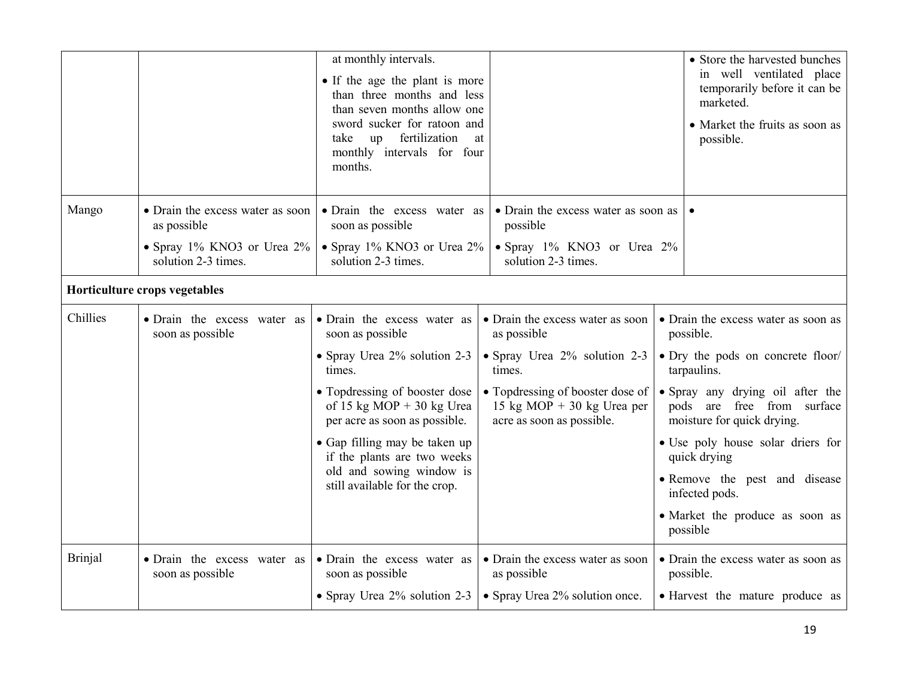|                |                                                                                                      | at monthly intervals.<br>• If the age the plant is more<br>than three months and less<br>than seven months allow one<br>sword sucker for ratoon and<br>fertilization<br>take<br>up<br>monthly intervals for four<br>months.                                                                                           | at                                                                                                                                                                                       | • Store the harvested bunches<br>in well ventilated place<br>temporarily before it can be<br>marketed.<br>• Market the fruits as soon as<br>possible.                                                                                                                                                                                                       |
|----------------|------------------------------------------------------------------------------------------------------|-----------------------------------------------------------------------------------------------------------------------------------------------------------------------------------------------------------------------------------------------------------------------------------------------------------------------|------------------------------------------------------------------------------------------------------------------------------------------------------------------------------------------|-------------------------------------------------------------------------------------------------------------------------------------------------------------------------------------------------------------------------------------------------------------------------------------------------------------------------------------------------------------|
| Mango          | • Drain the excess water as soon<br>as possible<br>• Spray 1% KNO3 or Urea 2%<br>solution 2-3 times. | • Drain the excess water as<br>soon as possible<br>• Spray $1\%$ KNO3 or Urea $2\%$<br>solution 2-3 times.                                                                                                                                                                                                            | • Drain the excess water as soon as  <br>possible<br>• Spray 1% KNO3 or Urea 2%<br>solution 2-3 times.                                                                                   |                                                                                                                                                                                                                                                                                                                                                             |
|                | Horticulture crops vegetables                                                                        |                                                                                                                                                                                                                                                                                                                       |                                                                                                                                                                                          |                                                                                                                                                                                                                                                                                                                                                             |
| Chillies       | · Drain the excess water as<br>soon as possible                                                      | · Drain the excess water as<br>soon as possible<br>• Spray Urea 2% solution 2-3<br>times.<br>• Topdressing of booster dose<br>of 15 kg MOP + 30 kg Urea<br>per acre as soon as possible.<br>• Gap filling may be taken up<br>if the plants are two weeks<br>old and sowing window is<br>still available for the crop. | • Drain the excess water as soon<br>as possible<br>• Spray Urea 2% solution 2-3<br>times.<br>• Topdressing of booster dose of<br>15 kg MOP + 30 kg Urea per<br>acre as soon as possible. | • Drain the excess water as soon as<br>possible.<br>• Dry the pods on concrete floor/<br>tarpaulins.<br>• Spray any drying oil after the<br>pods are free from surface<br>moisture for quick drying.<br>• Use poly house solar driers for<br>quick drying<br>• Remove the pest and disease<br>infected pods.<br>• Market the produce as soon as<br>possible |
| <b>Brinjal</b> | · Drain the excess water as<br>soon as possible                                                      | · Drain the excess water as<br>soon as possible                                                                                                                                                                                                                                                                       | • Drain the excess water as soon<br>as possible<br>• Spray Urea 2% solution 2-3   • Spray Urea 2% solution once.                                                                         | • Drain the excess water as soon as<br>possible.<br>• Harvest the mature produce as                                                                                                                                                                                                                                                                         |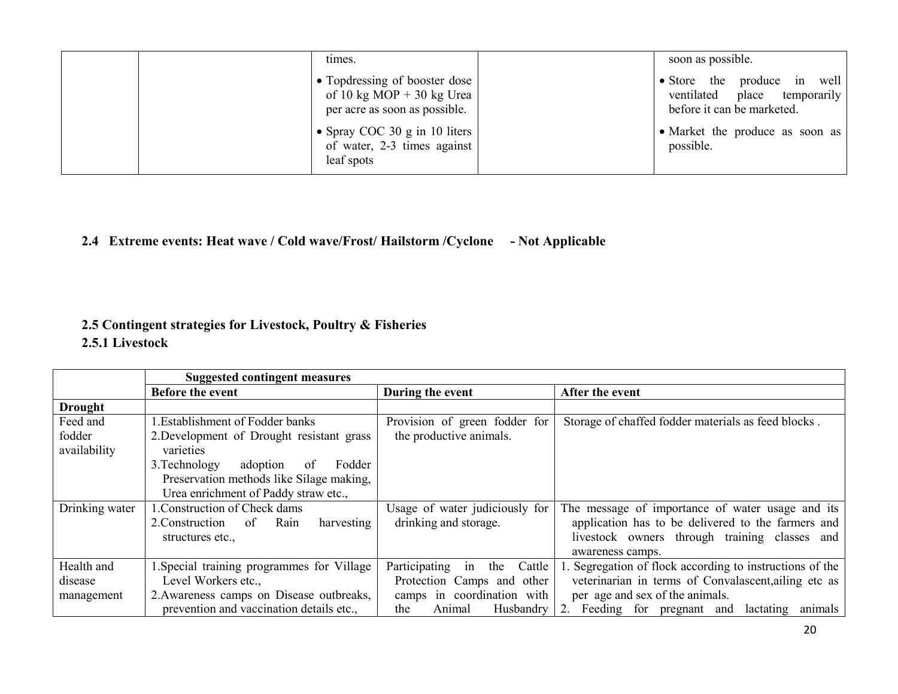|  | times.                                                                                    | soon as possible.                                                                            |
|--|-------------------------------------------------------------------------------------------|----------------------------------------------------------------------------------------------|
|  | Topdressing of booster dose<br>of 10 kg MOP + 30 kg Urea<br>per acre as soon as possible. | • Store the produce in well<br>place temporarily<br>ventilated<br>before it can be marketed. |
|  | • Spray COC 30 g in 10 liters<br>of water, 2-3 times against<br>leaf spots                | • Market the produce as soon as<br>possible.                                                 |

## 2.4 Extreme events: Heat wave / Cold wave/Frost/ Hailstorm /Cyclone - Not Applicable

## 2.5 Contingent strategies for Livestock, Poultry & Fisheries

### 2.5.1 Livestock

|                | <b>Suggested contingent measures</b>        |                                      |                                                         |  |
|----------------|---------------------------------------------|--------------------------------------|---------------------------------------------------------|--|
|                | <b>Before the event</b>                     | During the event                     | After the event                                         |  |
| <b>Drought</b> |                                             |                                      |                                                         |  |
| Feed and       | 1. Establishment of Fodder banks            | Provision of green fodder for        | Storage of chaffed fodder materials as feed blocks.     |  |
| fodder         | 2. Development of Drought resistant grass   | the productive animals.              |                                                         |  |
| availability   | varieties                                   |                                      |                                                         |  |
|                | Fodder<br>3. Technology<br>adoption<br>of   |                                      |                                                         |  |
|                | Preservation methods like Silage making,    |                                      |                                                         |  |
|                | Urea enrichment of Paddy straw etc.,        |                                      |                                                         |  |
| Drinking water | 1. Construction of Check dams               | Usage of water judiciously for       | The message of importance of water usage and its        |  |
|                | Rain<br>2. Construction<br>of<br>harvesting | drinking and storage.                | application has to be delivered to the farmers and      |  |
|                | structures etc.,                            |                                      | livestock owners through training classes and           |  |
|                |                                             |                                      | awareness camps.                                        |  |
| Health and     | 1. Special training programmes for Village  | Participating<br>Cattle<br>the<br>in | . Segregation of flock according to instructions of the |  |
| disease        | Level Workers etc.,                         | Protection Camps and other           | veterinarian in terms of Convalascent, ailing etc as    |  |
| management     | 2. Awareness camps on Disease outbreaks,    | camps in coordination with           | per age and sex of the animals.                         |  |
|                | prevention and vaccination details etc.,    | Animal<br>Husbandry<br>the           | Feeding for pregnant and lactating<br>2.<br>animals     |  |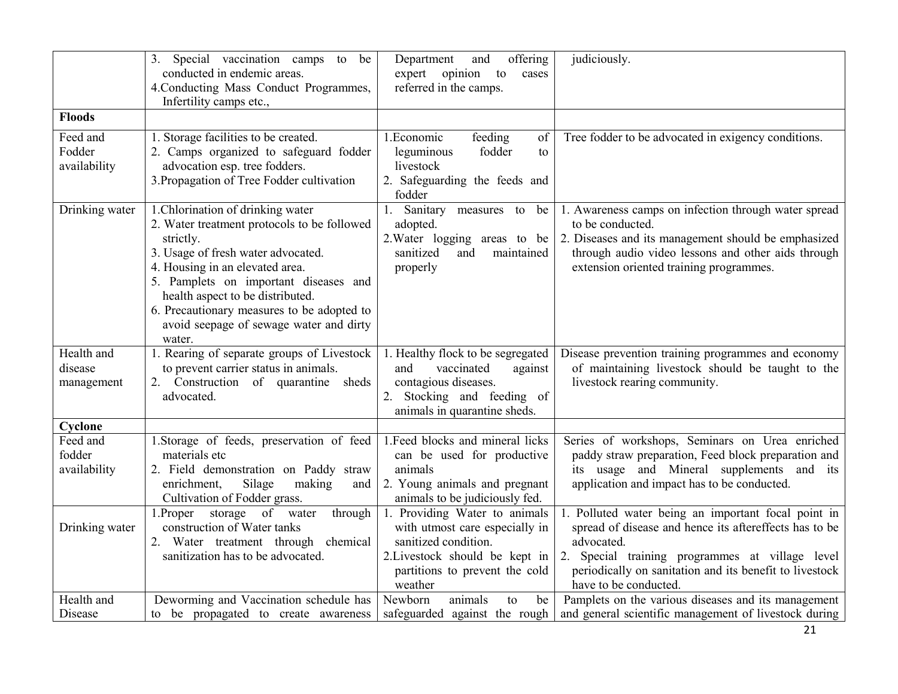|                                     | 3. Special vaccination camps to be<br>conducted in endemic areas.<br>4. Conducting Mass Conduct Programmes,<br>Infertility camps etc.,                                                                                                                                                                                                                 | Department<br>offering<br>and<br>expert opinion<br>to<br>cases<br>referred in the camps.                                                                               | judiciously.                                                                                                                                                                                                                                                       |
|-------------------------------------|--------------------------------------------------------------------------------------------------------------------------------------------------------------------------------------------------------------------------------------------------------------------------------------------------------------------------------------------------------|------------------------------------------------------------------------------------------------------------------------------------------------------------------------|--------------------------------------------------------------------------------------------------------------------------------------------------------------------------------------------------------------------------------------------------------------------|
| <b>Floods</b>                       |                                                                                                                                                                                                                                                                                                                                                        |                                                                                                                                                                        |                                                                                                                                                                                                                                                                    |
| Feed and<br>Fodder<br>availability  | 1. Storage facilities to be created.<br>2. Camps organized to safeguard fodder<br>advocation esp. tree fodders.<br>3. Propagation of Tree Fodder cultivation                                                                                                                                                                                           | 1. Economic<br>feeding<br>of<br>leguminous<br>fodder<br>to<br>livestock<br>2. Safeguarding the feeds and<br>fodder                                                     | Tree fodder to be advocated in exigency conditions.                                                                                                                                                                                                                |
| Drinking water                      | 1. Chlorination of drinking water<br>2. Water treatment protocols to be followed<br>strictly.<br>3. Usage of fresh water advocated.<br>4. Housing in an elevated area.<br>5. Pamplets on important diseases and<br>health aspect to be distributed.<br>6. Precautionary measures to be adopted to<br>avoid seepage of sewage water and dirty<br>water. | 1. Sanitary measures to<br>be<br>adopted.<br>2. Water logging areas to be<br>sanitized<br>and<br>maintained<br>properly                                                | 1. Awareness camps on infection through water spread<br>to be conducted.<br>2. Diseases and its management should be emphasized<br>through audio video lessons and other aids through<br>extension oriented training programmes.                                   |
| Health and<br>disease<br>management | 1. Rearing of separate groups of Livestock<br>to prevent carrier status in animals.<br>2. Construction of quarantine<br>sheds<br>advocated.                                                                                                                                                                                                            | 1. Healthy flock to be segregated<br>vaccinated<br>against<br>and<br>contagious diseases.<br>2. Stocking and feeding of<br>animals in quarantine sheds.                | Disease prevention training programmes and economy<br>of maintaining livestock should be taught to the<br>livestock rearing community.                                                                                                                             |
| Cyclone                             |                                                                                                                                                                                                                                                                                                                                                        |                                                                                                                                                                        |                                                                                                                                                                                                                                                                    |
| Feed and<br>fodder<br>availability  | 1. Storage of feeds, preservation of feed<br>materials etc<br>2. Field demonstration on Paddy straw<br>Silage<br>enrichment,<br>making<br>and<br>Cultivation of Fodder grass.                                                                                                                                                                          | 1. Feed blocks and mineral licks<br>can be used for productive<br>animals<br>2. Young animals and pregnant<br>animals to be judiciously fed.                           | Series of workshops, Seminars on Urea enriched<br>paddy straw preparation, Feed block preparation and<br>its usage and Mineral supplements and its<br>application and impact has to be conducted.                                                                  |
| Drinking water                      | 1. Proper storage of water<br>through<br>construction of Water tanks<br>2. Water treatment through chemical<br>sanitization has to be advocated.                                                                                                                                                                                                       | 1. Providing Water to animals<br>with utmost care especially in<br>sanitized condition.<br>2. Livestock should be kept in<br>partitions to prevent the cold<br>weather | 1. Polluted water being an important focal point in<br>spread of disease and hence its aftereffects has to be<br>advocated.<br>2. Special training programmes at village level<br>periodically on sanitation and its benefit to livestock<br>have to be conducted. |
| Health and<br>Disease               | Deworming and Vaccination schedule has<br>to be propagated to create awareness                                                                                                                                                                                                                                                                         | Newborn<br>animals<br>to<br>be<br>safeguarded against the rough                                                                                                        | Pamplets on the various diseases and its management<br>and general scientific management of livestock during                                                                                                                                                       |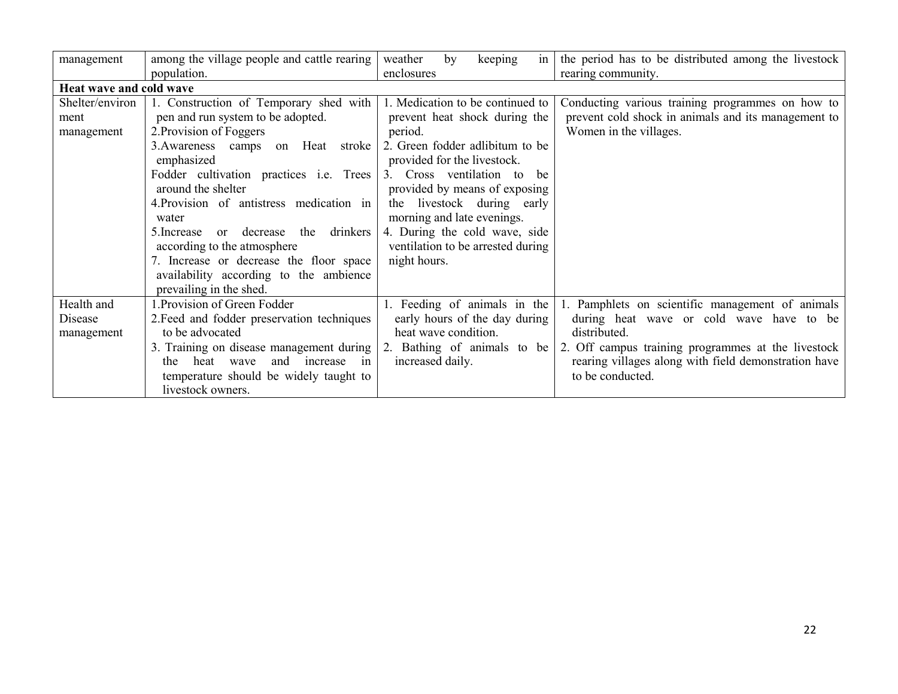|                         |                                             | weather                           | the period has to be distributed among the livestock |
|-------------------------|---------------------------------------------|-----------------------------------|------------------------------------------------------|
| management              | among the village people and cattle rearing | keeping<br>by<br>in               |                                                      |
|                         | population.                                 | enclosures                        | rearing community.                                   |
| Heat wave and cold wave |                                             |                                   |                                                      |
| Shelter/environ         | 1. Construction of Temporary shed with      | 1. Medication to be continued to  | Conducting various training programmes on how to     |
| ment                    | pen and run system to be adopted.           | prevent heat shock during the     | prevent cold shock in animals and its management to  |
| management              | 2. Provision of Foggers                     | period.                           | Women in the villages.                               |
|                         | 3. Awareness camps on Heat<br>stroke        | 2. Green fodder adlibitum to be   |                                                      |
|                         | emphasized                                  | provided for the livestock.       |                                                      |
|                         | Fodder cultivation practices i.e. Trees     | 3. Cross ventilation to<br>he.    |                                                      |
|                         | around the shelter                          | provided by means of exposing     |                                                      |
|                         | 4. Provision of antistress medication in    | the livestock during early        |                                                      |
|                         | water                                       | morning and late evenings.        |                                                      |
|                         | 5. Increase or decrease the drinkers        | 4. During the cold wave, side     |                                                      |
|                         | according to the atmosphere                 | ventilation to be arrested during |                                                      |
|                         | 7. Increase or decrease the floor space     | night hours.                      |                                                      |
|                         | availability according to the ambience      |                                   |                                                      |
|                         | prevailing in the shed.                     |                                   |                                                      |
| Health and              | Provision of Green Fodder                   | 1. Feeding of animals in the      | 1. Pamphlets on scientific management of animals     |
| Disease                 | 2. Feed and fodder preservation techniques  | early hours of the day during     | during heat wave or cold wave have to be             |
| management              | to be advocated                             | heat wave condition.              | distributed.                                         |
|                         | 3. Training on disease management during    | 2. Bathing of animals to be       | 2. Off campus training programmes at the livestock   |
|                         | and increase<br>heat<br>wave<br>in<br>the i | increased daily.                  | rearing villages along with field demonstration have |
|                         | temperature should be widely taught to      |                                   | to be conducted.                                     |
|                         | livestock owners.                           |                                   |                                                      |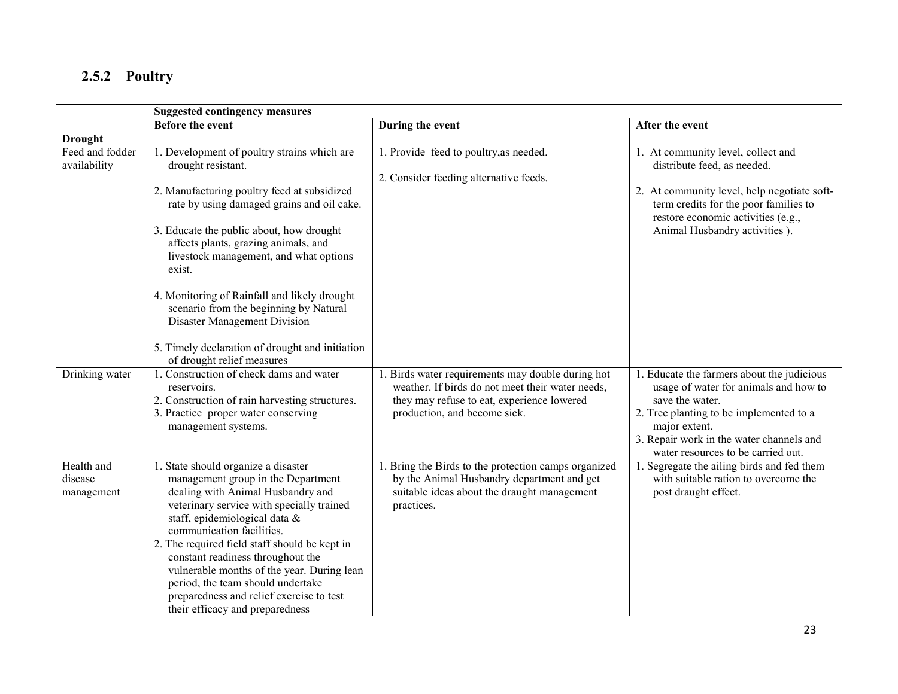# 2.5.2 Poultry

|                                     | <b>Suggested contingency measures</b>                                                                                                                                                                                                                                                                                                                                                                                                                                                                             |                                                                                                                                                                                     |                                                                                                                                                                                                                                                      |
|-------------------------------------|-------------------------------------------------------------------------------------------------------------------------------------------------------------------------------------------------------------------------------------------------------------------------------------------------------------------------------------------------------------------------------------------------------------------------------------------------------------------------------------------------------------------|-------------------------------------------------------------------------------------------------------------------------------------------------------------------------------------|------------------------------------------------------------------------------------------------------------------------------------------------------------------------------------------------------------------------------------------------------|
|                                     | <b>Before the event</b>                                                                                                                                                                                                                                                                                                                                                                                                                                                                                           | During the event                                                                                                                                                                    | After the event                                                                                                                                                                                                                                      |
| <b>Drought</b>                      |                                                                                                                                                                                                                                                                                                                                                                                                                                                                                                                   |                                                                                                                                                                                     |                                                                                                                                                                                                                                                      |
| Feed and fodder<br>availability     | 1. Development of poultry strains which are<br>drought resistant.<br>2. Manufacturing poultry feed at subsidized<br>rate by using damaged grains and oil cake.<br>3. Educate the public about, how drought<br>affects plants, grazing animals, and<br>livestock management, and what options<br>exist.<br>4. Monitoring of Rainfall and likely drought<br>scenario from the beginning by Natural<br>Disaster Management Division<br>5. Timely declaration of drought and initiation<br>of drought relief measures | 1. Provide feed to poultry, as needed.<br>2. Consider feeding alternative feeds.                                                                                                    | 1. At community level, collect and<br>distribute feed, as needed.<br>2. At community level, help negotiate soft-<br>term credits for the poor families to<br>restore economic activities (e.g.,<br>Animal Husbandry activities ).                    |
| Drinking water                      | 1. Construction of check dams and water<br>reservoirs.<br>2. Construction of rain harvesting structures.<br>3. Practice proper water conserving<br>management systems.                                                                                                                                                                                                                                                                                                                                            | 1. Birds water requirements may double during hot<br>weather. If birds do not meet their water needs,<br>they may refuse to eat, experience lowered<br>production, and become sick. | 1. Educate the farmers about the judicious<br>usage of water for animals and how to<br>save the water.<br>2. Tree planting to be implemented to a<br>major extent.<br>3. Repair work in the water channels and<br>water resources to be carried out. |
| Health and<br>disease<br>management | 1. State should organize a disaster<br>management group in the Department<br>dealing with Animal Husbandry and<br>veterinary service with specially trained<br>staff, epidemiological data &<br>communication facilities.<br>2. The required field staff should be kept in<br>constant readiness throughout the<br>vulnerable months of the year. During lean<br>period, the team should undertake<br>preparedness and relief exercise to test<br>their efficacy and preparedness                                 | 1. Bring the Birds to the protection camps organized<br>by the Animal Husbandry department and get<br>suitable ideas about the draught management<br>practices.                     | 1. Segregate the ailing birds and fed them<br>with suitable ration to overcome the<br>post draught effect.                                                                                                                                           |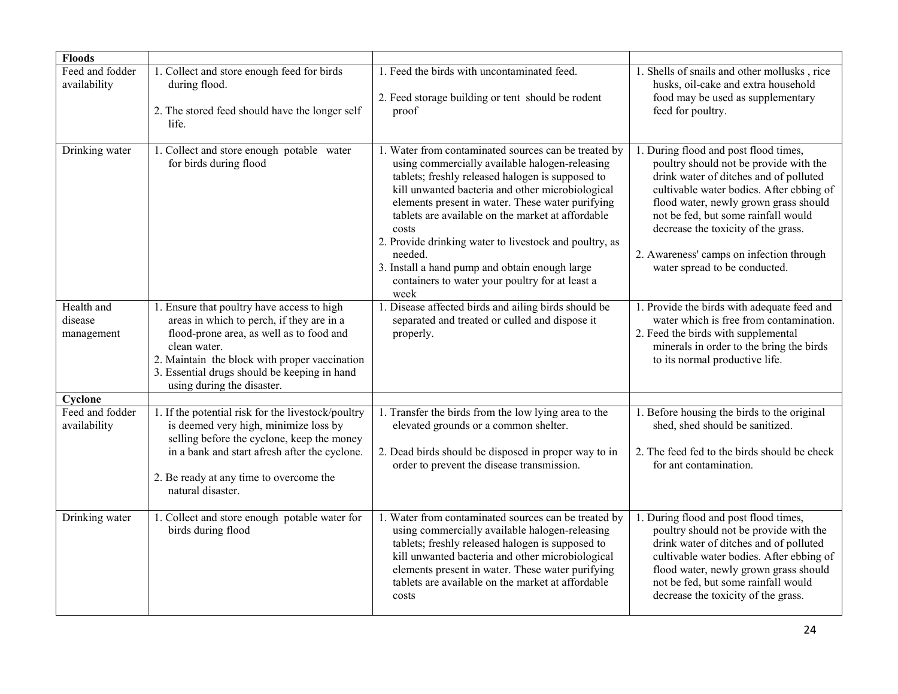| <b>Floods</b>                       |                                                                                                                                                                                                                                                                                    |                                                                                                                                                                                                                                                                                                                                                                                                                                                                                                                    |                                                                                                                                                                                                                                                                                                                                                                           |
|-------------------------------------|------------------------------------------------------------------------------------------------------------------------------------------------------------------------------------------------------------------------------------------------------------------------------------|--------------------------------------------------------------------------------------------------------------------------------------------------------------------------------------------------------------------------------------------------------------------------------------------------------------------------------------------------------------------------------------------------------------------------------------------------------------------------------------------------------------------|---------------------------------------------------------------------------------------------------------------------------------------------------------------------------------------------------------------------------------------------------------------------------------------------------------------------------------------------------------------------------|
| Feed and fodder<br>availability     | 1. Collect and store enough feed for birds<br>during flood.<br>2. The stored feed should have the longer self<br>life.                                                                                                                                                             | 1. Feed the birds with uncontaminated feed.<br>2. Feed storage building or tent should be rodent<br>proof                                                                                                                                                                                                                                                                                                                                                                                                          | 1. Shells of snails and other mollusks, rice<br>husks, oil-cake and extra household<br>food may be used as supplementary<br>feed for poultry.                                                                                                                                                                                                                             |
| Drinking water                      | 1. Collect and store enough potable water<br>for birds during flood                                                                                                                                                                                                                | 1. Water from contaminated sources can be treated by<br>using commercially available halogen-releasing<br>tablets; freshly released halogen is supposed to<br>kill unwanted bacteria and other microbiological<br>elements present in water. These water purifying<br>tablets are available on the market at affordable<br>costs<br>2. Provide drinking water to livestock and poultry, as<br>needed.<br>3. Install a hand pump and obtain enough large<br>containers to water your poultry for at least a<br>week | 1. During flood and post flood times,<br>poultry should not be provide with the<br>drink water of ditches and of polluted<br>cultivable water bodies. After ebbing of<br>flood water, newly grown grass should<br>not be fed, but some rainfall would<br>decrease the toxicity of the grass.<br>2. Awareness' camps on infection through<br>water spread to be conducted. |
| Health and<br>disease<br>management | 1. Ensure that poultry have access to high<br>areas in which to perch, if they are in a<br>flood-prone area, as well as to food and<br>clean water.<br>2. Maintain the block with proper vaccination<br>3. Essential drugs should be keeping in hand<br>using during the disaster. | Disease affected birds and ailing birds should be<br>separated and treated or culled and dispose it<br>properly.                                                                                                                                                                                                                                                                                                                                                                                                   | 1. Provide the birds with adequate feed and<br>water which is free from contamination.<br>2. Feed the birds with supplemental<br>minerals in order to the bring the birds<br>to its normal productive life.                                                                                                                                                               |
| Cyclone                             |                                                                                                                                                                                                                                                                                    |                                                                                                                                                                                                                                                                                                                                                                                                                                                                                                                    |                                                                                                                                                                                                                                                                                                                                                                           |
| Feed and fodder<br>availability     | 1. If the potential risk for the livestock/poultry<br>is deemed very high, minimize loss by<br>selling before the cyclone, keep the money<br>in a bank and start afresh after the cyclone.<br>2. Be ready at any time to overcome the<br>natural disaster.                         | 1. Transfer the birds from the low lying area to the<br>elevated grounds or a common shelter.<br>2. Dead birds should be disposed in proper way to in<br>order to prevent the disease transmission.                                                                                                                                                                                                                                                                                                                | 1. Before housing the birds to the original<br>shed, shed should be sanitized.<br>2. The feed fed to the birds should be check<br>for ant contamination.                                                                                                                                                                                                                  |
| Drinking water                      | 1. Collect and store enough potable water for<br>birds during flood                                                                                                                                                                                                                | 1. Water from contaminated sources can be treated by<br>using commercially available halogen-releasing<br>tablets; freshly released halogen is supposed to<br>kill unwanted bacteria and other microbiological<br>elements present in water. These water purifying<br>tablets are available on the market at affordable<br>costs                                                                                                                                                                                   | 1. During flood and post flood times,<br>poultry should not be provide with the<br>drink water of ditches and of polluted<br>cultivable water bodies. After ebbing of<br>flood water, newly grown grass should<br>not be fed, but some rainfall would<br>decrease the toxicity of the grass.                                                                              |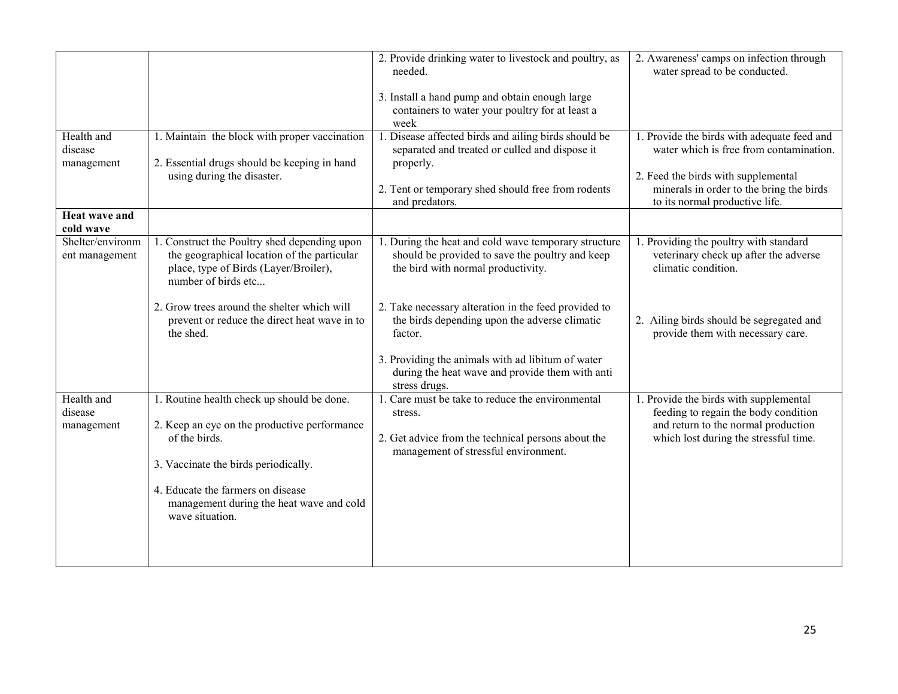| Health and<br>disease<br>management | 1. Maintain the block with proper vaccination<br>2. Essential drugs should be keeping in hand                                                                                                                                                           | 2. Provide drinking water to livestock and poultry, as<br>needed.<br>3. Install a hand pump and obtain enough large<br>containers to water your poultry for at least a<br>week<br>1. Disease affected birds and ailing birds should be<br>separated and treated or culled and dispose it<br>properly. | 2. Awareness' camps on infection through<br>water spread to be conducted.<br>1. Provide the birds with adequate feed and<br>water which is free from contamination. |
|-------------------------------------|---------------------------------------------------------------------------------------------------------------------------------------------------------------------------------------------------------------------------------------------------------|-------------------------------------------------------------------------------------------------------------------------------------------------------------------------------------------------------------------------------------------------------------------------------------------------------|---------------------------------------------------------------------------------------------------------------------------------------------------------------------|
|                                     | using during the disaster.                                                                                                                                                                                                                              | 2. Tent or temporary shed should free from rodents<br>and predators.                                                                                                                                                                                                                                  | 2. Feed the birds with supplemental<br>minerals in order to the bring the birds<br>to its normal productive life.                                                   |
| <b>Heat wave and</b><br>cold wave   |                                                                                                                                                                                                                                                         |                                                                                                                                                                                                                                                                                                       |                                                                                                                                                                     |
| Shelter/environm<br>ent management  | 1. Construct the Poultry shed depending upon<br>the geographical location of the particular<br>place, type of Birds (Layer/Broiler),<br>number of birds etc                                                                                             | 1. During the heat and cold wave temporary structure<br>should be provided to save the poultry and keep<br>the bird with normal productivity.                                                                                                                                                         | 1. Providing the poultry with standard<br>veterinary check up after the adverse<br>climatic condition.                                                              |
|                                     | 2. Grow trees around the shelter which will<br>prevent or reduce the direct heat wave in to<br>the shed.                                                                                                                                                | 2. Take necessary alteration in the feed provided to<br>the birds depending upon the adverse climatic<br>factor.                                                                                                                                                                                      | 2. Ailing birds should be segregated and<br>provide them with necessary care.                                                                                       |
|                                     |                                                                                                                                                                                                                                                         | 3. Providing the animals with ad libitum of water<br>during the heat wave and provide them with anti<br>stress drugs.                                                                                                                                                                                 |                                                                                                                                                                     |
| Health and<br>disease<br>management | 1. Routine health check up should be done.<br>2. Keep an eye on the productive performance<br>of the birds.<br>3. Vaccinate the birds periodically.<br>4. Educate the farmers on disease<br>management during the heat wave and cold<br>wave situation. | 1. Care must be take to reduce the environmental<br>stress.<br>2. Get advice from the technical persons about the<br>management of stressful environment.                                                                                                                                             | 1. Provide the birds with supplemental<br>feeding to regain the body condition<br>and return to the normal production<br>which lost during the stressful time.      |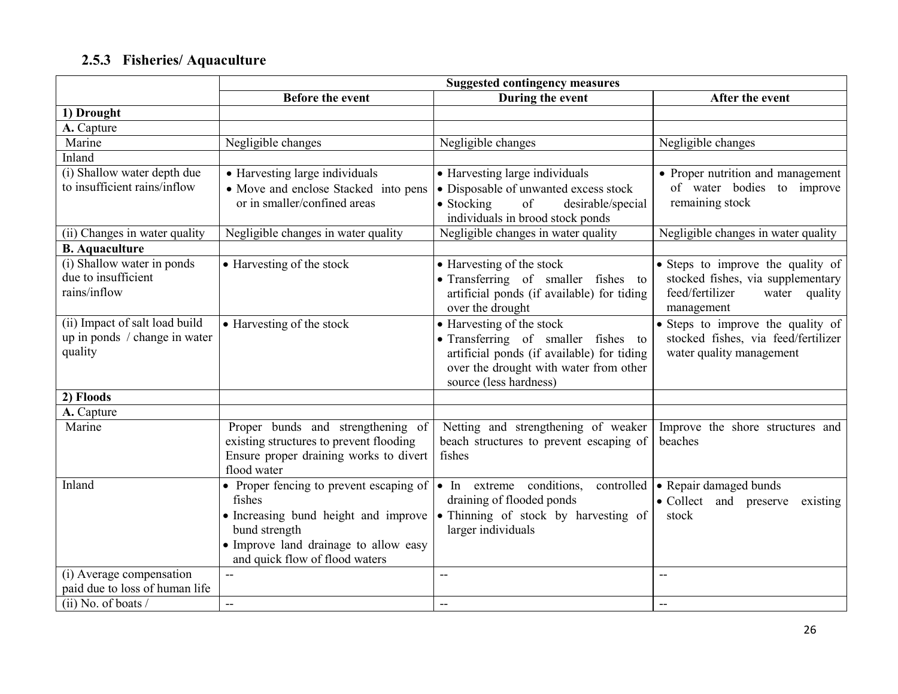# 2.5.3 Fisheries/ Aquaculture

|                                | <b>Suggested contingency measures</b>   |                                                                  |                                             |
|--------------------------------|-----------------------------------------|------------------------------------------------------------------|---------------------------------------------|
|                                | <b>Before the event</b>                 | During the event                                                 | After the event                             |
| 1) Drought                     |                                         |                                                                  |                                             |
| A. Capture                     |                                         |                                                                  |                                             |
| Marine                         | Negligible changes                      | Negligible changes                                               | Negligible changes                          |
| Inland                         |                                         |                                                                  |                                             |
| (i) Shallow water depth due    | • Harvesting large individuals          | • Harvesting large individuals                                   | • Proper nutrition and management           |
| to insufficient rains/inflow   | • Move and enclose Stacked into pens    | • Disposable of unwanted excess stock                            | of water bodies to improve                  |
|                                | or in smaller/confined areas            | of<br>$\bullet$ Stocking<br>desirable/special                    | remaining stock                             |
|                                |                                         | individuals in brood stock ponds                                 |                                             |
| (ii) Changes in water quality  | Negligible changes in water quality     | Negligible changes in water quality                              | Negligible changes in water quality         |
| <b>B.</b> Aquaculture          |                                         |                                                                  |                                             |
| (i) Shallow water in ponds     | • Harvesting of the stock               | • Harvesting of the stock                                        | • Steps to improve the quality of           |
| due to insufficient            |                                         | • Transferring of smaller fishes to                              | stocked fishes, via supplementary           |
| rains/inflow                   |                                         | artificial ponds (if available) for tiding                       | feed/fertilizer<br>water quality            |
|                                |                                         | over the drought                                                 | management                                  |
| (ii) Impact of salt load build | • Harvesting of the stock               | • Harvesting of the stock                                        | • Steps to improve the quality of           |
| up in ponds / change in water  |                                         | • Transferring of smaller fishes to                              | stocked fishes, via feed/fertilizer         |
| quality                        |                                         | artificial ponds (if available) for tiding                       | water quality management                    |
|                                |                                         | over the drought with water from other<br>source (less hardness) |                                             |
| 2) Floods                      |                                         |                                                                  |                                             |
|                                |                                         |                                                                  |                                             |
| A. Capture<br>Marine           | Proper bunds and strengthening of       | Netting and strengthening of weaker                              |                                             |
|                                | existing structures to prevent flooding | beach structures to prevent escaping of                          | Improve the shore structures and<br>beaches |
|                                | Ensure proper draining works to divert  | fishes                                                           |                                             |
|                                | flood water                             |                                                                  |                                             |
| Inland                         | • Proper fencing to prevent escaping of | • In extreme conditions, controlled                              | • Repair damaged bunds                      |
|                                | fishes                                  | draining of flooded ponds                                        | • Collect and preserve<br>existing          |
|                                | • Increasing bund height and improve    | • Thinning of stock by harvesting of                             | stock                                       |
|                                | bund strength                           | larger individuals                                               |                                             |
|                                | • Improve land drainage to allow easy   |                                                                  |                                             |
|                                | and quick flow of flood waters          |                                                                  |                                             |
| (i) Average compensation       |                                         | $\overline{a}$                                                   | --                                          |
| paid due to loss of human life |                                         |                                                                  |                                             |
| $(ii)$ No. of boats /          | $\overline{\phantom{a}}$                | $- -$                                                            | $\overline{\phantom{m}}$                    |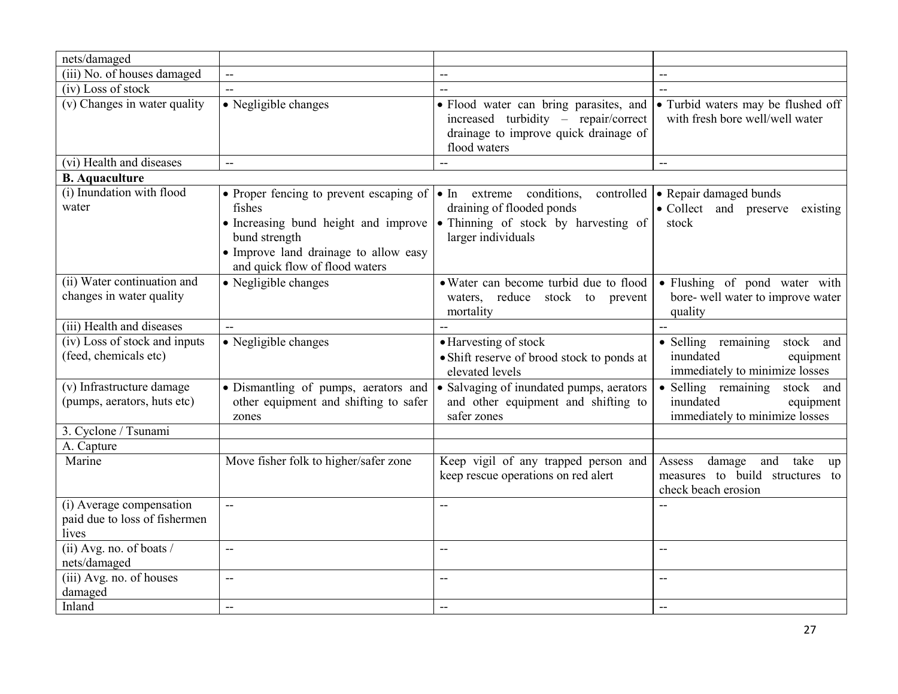| nets/damaged                                                       |                                                                                                    |                                                                                                                                                                                                                                                    |                                                                                                 |
|--------------------------------------------------------------------|----------------------------------------------------------------------------------------------------|----------------------------------------------------------------------------------------------------------------------------------------------------------------------------------------------------------------------------------------------------|-------------------------------------------------------------------------------------------------|
| $(iii)$ No. of houses damaged                                      | $\overline{\phantom{a}}$                                                                           | $\overline{\phantom{a}}$                                                                                                                                                                                                                           | $\overline{\phantom{a}}$                                                                        |
| (iv) Loss of stock                                                 | $-$                                                                                                | $-$                                                                                                                                                                                                                                                | $\mathbf{u}$                                                                                    |
| (v) Changes in water quality                                       | $\overline{\bullet}$ Negligible changes                                                            | · Flood water can bring parasites, and<br>increased turbidity - repair/correct<br>drainage to improve quick drainage of<br>flood waters                                                                                                            | • Turbid waters may be flushed off<br>with fresh bore well/well water                           |
| (vi) Health and diseases                                           | 44                                                                                                 |                                                                                                                                                                                                                                                    | $\overline{a}$                                                                                  |
| <b>B.</b> Aquaculture                                              |                                                                                                    |                                                                                                                                                                                                                                                    |                                                                                                 |
| (i) Inundation with flood<br>water                                 | fishes<br>bund strength<br>• Improve land drainage to allow easy<br>and quick flow of flood waters | • Proper fencing to prevent escaping of $\bullet$ In extreme conditions, controlled $\bullet$ Repair damaged bunds<br>draining of flooded ponds<br>• Increasing bund height and improve • Thinning of stock by harvesting of<br>larger individuals | • Collect and preserve<br>existing<br>stock                                                     |
| (ii) Water continuation and<br>changes in water quality            | • Negligible changes                                                                               | • Water can become turbid due to flood<br>waters, reduce stock to prevent<br>mortality                                                                                                                                                             | • Flushing of pond water with<br>bore- well water to improve water<br>quality                   |
| (iii) Health and diseases                                          |                                                                                                    |                                                                                                                                                                                                                                                    |                                                                                                 |
| (iv) Loss of stock and inputs<br>(feed, chemicals etc)             | • Negligible changes                                                                               | • Harvesting of stock<br>· Shift reserve of brood stock to ponds at<br>elevated levels                                                                                                                                                             | • Selling remaining<br>stock and<br>inundated<br>equipment<br>immediately to minimize losses    |
| (v) Infrastructure damage<br>(pumps, aerators, huts etc)           | · Dismantling of pumps, aerators and<br>other equipment and shifting to safer<br>zones             | • Salvaging of inundated pumps, aerators<br>and other equipment and shifting to<br>safer zones                                                                                                                                                     | · Selling remaining stock and<br>inundated<br>equipment<br>immediately to minimize losses       |
| 3. Cyclone / Tsunami                                               |                                                                                                    |                                                                                                                                                                                                                                                    |                                                                                                 |
| A. Capture                                                         |                                                                                                    |                                                                                                                                                                                                                                                    |                                                                                                 |
| Marine                                                             | Move fisher folk to higher/safer zone                                                              | Keep vigil of any trapped person and<br>keep rescue operations on red alert                                                                                                                                                                        | Assess<br>damage<br>take<br>and<br>up<br>measures to build structures to<br>check beach erosion |
| (i) Average compensation<br>paid due to loss of fishermen<br>lives | uu.                                                                                                | $\overline{\phantom{a}}$                                                                                                                                                                                                                           | $\overline{a}$                                                                                  |
| (ii) Avg. no. of boats /<br>nets/damaged                           | $\overline{\phantom{a}}$                                                                           | $-$                                                                                                                                                                                                                                                | $\overline{\phantom{a}}$                                                                        |
| (iii) Avg. no. of houses<br>damaged                                | $-$                                                                                                | $-$                                                                                                                                                                                                                                                | $\overline{\phantom{a}}$                                                                        |
| Inland                                                             | uu.                                                                                                | $\overline{\phantom{a}}$                                                                                                                                                                                                                           | $\overline{\phantom{a}}$                                                                        |